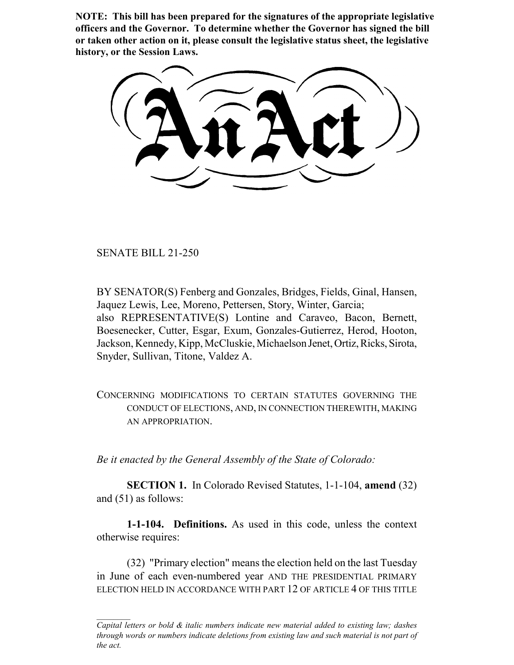**NOTE: This bill has been prepared for the signatures of the appropriate legislative officers and the Governor. To determine whether the Governor has signed the bill or taken other action on it, please consult the legislative status sheet, the legislative history, or the Session Laws.**

SENATE BILL 21-250

BY SENATOR(S) Fenberg and Gonzales, Bridges, Fields, Ginal, Hansen, Jaquez Lewis, Lee, Moreno, Pettersen, Story, Winter, Garcia; also REPRESENTATIVE(S) Lontine and Caraveo, Bacon, Bernett, Boesenecker, Cutter, Esgar, Exum, Gonzales-Gutierrez, Herod, Hooton, Jackson, Kennedy, Kipp, McCluskie, Michaelson Jenet, Ortiz, Ricks, Sirota, Snyder, Sullivan, Titone, Valdez A.

CONCERNING MODIFICATIONS TO CERTAIN STATUTES GOVERNING THE CONDUCT OF ELECTIONS, AND, IN CONNECTION THEREWITH, MAKING AN APPROPRIATION.

*Be it enacted by the General Assembly of the State of Colorado:*

**SECTION 1.** In Colorado Revised Statutes, 1-1-104, **amend** (32) and (51) as follows:

**1-1-104. Definitions.** As used in this code, unless the context otherwise requires:

(32) "Primary election" means the election held on the last Tuesday in June of each even-numbered year AND THE PRESIDENTIAL PRIMARY ELECTION HELD IN ACCORDANCE WITH PART 12 OF ARTICLE 4 OF THIS TITLE

*Capital letters or bold & italic numbers indicate new material added to existing law; dashes through words or numbers indicate deletions from existing law and such material is not part of the act.*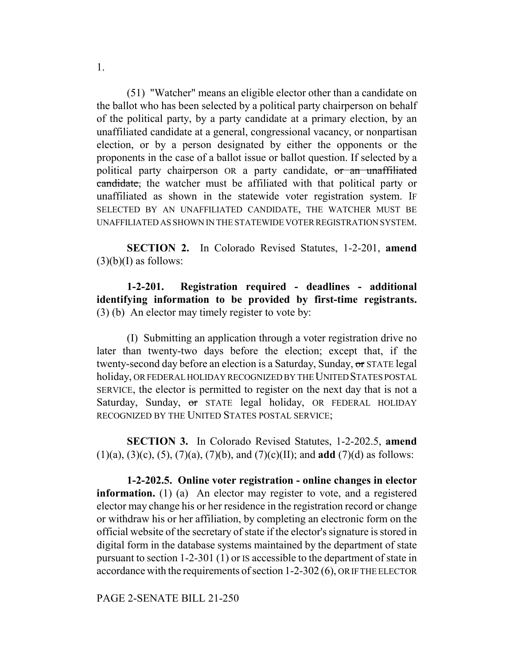(51) "Watcher" means an eligible elector other than a candidate on the ballot who has been selected by a political party chairperson on behalf of the political party, by a party candidate at a primary election, by an unaffiliated candidate at a general, congressional vacancy, or nonpartisan election, or by a person designated by either the opponents or the proponents in the case of a ballot issue or ballot question. If selected by a political party chairperson OR a party candidate, or an unaffiliated candidate, the watcher must be affiliated with that political party or unaffiliated as shown in the statewide voter registration system. IF SELECTED BY AN UNAFFILIATED CANDIDATE, THE WATCHER MUST BE UNAFFILIATED AS SHOWN IN THE STATEWIDE VOTER REGISTRATION SYSTEM.

**SECTION 2.** In Colorado Revised Statutes, 1-2-201, **amend**  $(3)(b)(I)$  as follows:

**1-2-201. Registration required - deadlines - additional identifying information to be provided by first-time registrants.** (3) (b) An elector may timely register to vote by:

(I) Submitting an application through a voter registration drive no later than twenty-two days before the election; except that, if the twenty-second day before an election is a Saturday, Sunday, or STATE legal holiday, OR FEDERAL HOLIDAY RECOGNIZED BY THE UNITED STATES POSTAL SERVICE, the elector is permitted to register on the next day that is not a Saturday, Sunday, or STATE legal holiday, OR FEDERAL HOLIDAY RECOGNIZED BY THE UNITED STATES POSTAL SERVICE;

**SECTION 3.** In Colorado Revised Statutes, 1-2-202.5, **amend** (1)(a), (3)(c), (5), (7)(a), (7)(b), and (7)(c)(II); and **add** (7)(d) as follows:

**1-2-202.5. Online voter registration - online changes in elector information.** (1) (a) An elector may register to vote, and a registered elector may change his or her residence in the registration record or change or withdraw his or her affiliation, by completing an electronic form on the official website of the secretary of state if the elector's signature is stored in digital form in the database systems maintained by the department of state pursuant to section 1-2-301 (1) or IS accessible to the department of state in accordance with the requirements of section 1-2-302 (6), OR IF THE ELECTOR

PAGE 2-SENATE BILL 21-250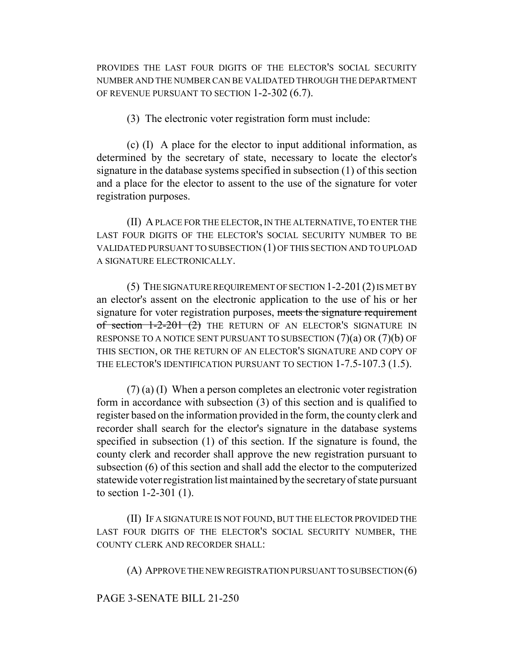PROVIDES THE LAST FOUR DIGITS OF THE ELECTOR'S SOCIAL SECURITY NUMBER AND THE NUMBER CAN BE VALIDATED THROUGH THE DEPARTMENT OF REVENUE PURSUANT TO SECTION 1-2-302 (6.7).

(3) The electronic voter registration form must include:

(c) (I) A place for the elector to input additional information, as determined by the secretary of state, necessary to locate the elector's signature in the database systems specified in subsection (1) of this section and a place for the elector to assent to the use of the signature for voter registration purposes.

(II) A PLACE FOR THE ELECTOR, IN THE ALTERNATIVE, TO ENTER THE LAST FOUR DIGITS OF THE ELECTOR'S SOCIAL SECURITY NUMBER TO BE VALIDATED PURSUANT TO SUBSECTION (1) OF THIS SECTION AND TO UPLOAD A SIGNATURE ELECTRONICALLY.

(5) THE SIGNATURE REQUIREMENT OF SECTION 1-2-201(2) IS MET BY an elector's assent on the electronic application to the use of his or her signature for voter registration purposes, meets the signature requirement of section  $1-2-201$  (2) THE RETURN OF AN ELECTOR'S SIGNATURE IN RESPONSE TO A NOTICE SENT PURSUANT TO SUBSECTION  $(7)(a)$  OR  $(7)(b)$  OF THIS SECTION, OR THE RETURN OF AN ELECTOR'S SIGNATURE AND COPY OF THE ELECTOR'S IDENTIFICATION PURSUANT TO SECTION 1-7.5-107.3 (1.5).

(7) (a) (I) When a person completes an electronic voter registration form in accordance with subsection (3) of this section and is qualified to register based on the information provided in the form, the county clerk and recorder shall search for the elector's signature in the database systems specified in subsection (1) of this section. If the signature is found, the county clerk and recorder shall approve the new registration pursuant to subsection (6) of this section and shall add the elector to the computerized statewide voter registration list maintained by the secretary of state pursuant to section 1-2-301 (1).

(II) IF A SIGNATURE IS NOT FOUND, BUT THE ELECTOR PROVIDED THE LAST FOUR DIGITS OF THE ELECTOR'S SOCIAL SECURITY NUMBER, THE COUNTY CLERK AND RECORDER SHALL:

(A) APPROVE THE NEW REGISTRATION PURSUANT TO SUBSECTION (6)

PAGE 3-SENATE BILL 21-250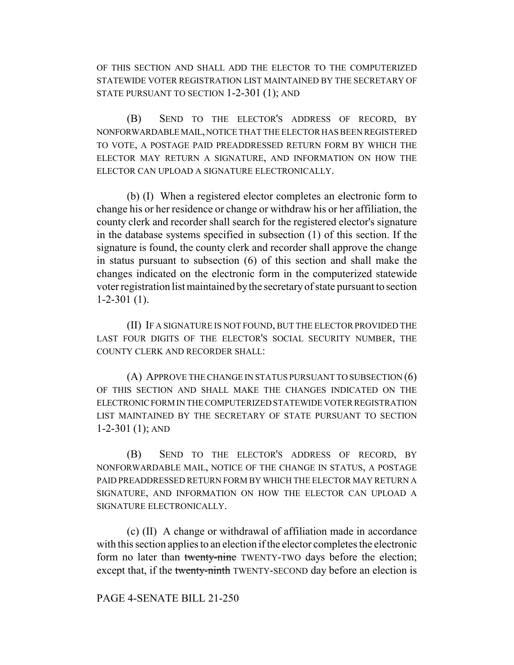OF THIS SECTION AND SHALL ADD THE ELECTOR TO THE COMPUTERIZED STATEWIDE VOTER REGISTRATION LIST MAINTAINED BY THE SECRETARY OF STATE PURSUANT TO SECTION 1-2-301 (1); AND

(B) SEND TO THE ELECTOR'S ADDRESS OF RECORD, BY NONFORWARDABLE MAIL, NOTICE THAT THE ELECTOR HAS BEEN REGISTERED TO VOTE, A POSTAGE PAID PREADDRESSED RETURN FORM BY WHICH THE ELECTOR MAY RETURN A SIGNATURE, AND INFORMATION ON HOW THE ELECTOR CAN UPLOAD A SIGNATURE ELECTRONICALLY.

(b) (I) When a registered elector completes an electronic form to change his or her residence or change or withdraw his or her affiliation, the county clerk and recorder shall search for the registered elector's signature in the database systems specified in subsection (1) of this section. If the signature is found, the county clerk and recorder shall approve the change in status pursuant to subsection (6) of this section and shall make the changes indicated on the electronic form in the computerized statewide voter registration list maintained by the secretary of state pursuant to section 1-2-301 (1).

(II) IF A SIGNATURE IS NOT FOUND, BUT THE ELECTOR PROVIDED THE LAST FOUR DIGITS OF THE ELECTOR'S SOCIAL SECURITY NUMBER, THE COUNTY CLERK AND RECORDER SHALL:

(A) APPROVE THE CHANGE IN STATUS PURSUANT TO SUBSECTION (6) OF THIS SECTION AND SHALL MAKE THE CHANGES INDICATED ON THE ELECTRONIC FORM IN THE COMPUTERIZED STATEWIDE VOTER REGISTRATION LIST MAINTAINED BY THE SECRETARY OF STATE PURSUANT TO SECTION 1-2-301 (1); AND

(B) SEND TO THE ELECTOR'S ADDRESS OF RECORD, BY NONFORWARDABLE MAIL, NOTICE OF THE CHANGE IN STATUS, A POSTAGE PAID PREADDRESSED RETURN FORM BY WHICH THE ELECTOR MAY RETURN A SIGNATURE, AND INFORMATION ON HOW THE ELECTOR CAN UPLOAD A SIGNATURE ELECTRONICALLY.

(c) (II) A change or withdrawal of affiliation made in accordance with this section applies to an election if the elector completes the electronic form no later than twenty-nine TWENTY-TWO days before the election; except that, if the twenty-ninth TWENTY-SECOND day before an election is

# PAGE 4-SENATE BILL 21-250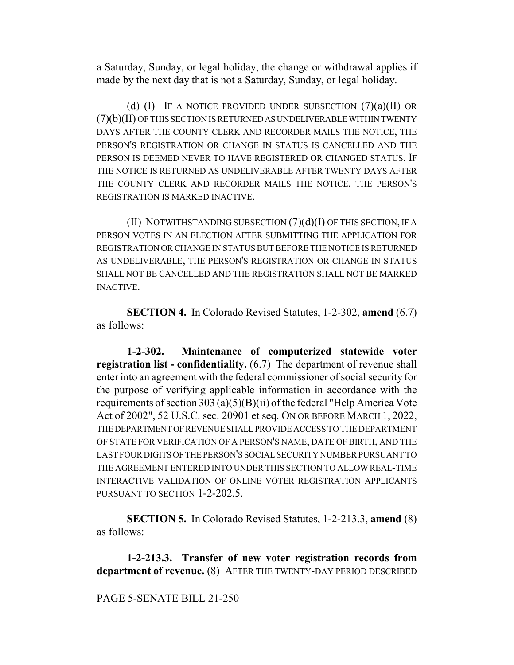a Saturday, Sunday, or legal holiday, the change or withdrawal applies if made by the next day that is not a Saturday, Sunday, or legal holiday.

(d)  $(I)$  If a notice provided under subsection  $(7)(a)(II)$  or (7)(b)(II) OF THIS SECTION IS RETURNED AS UNDELIVERABLE WITHIN TWENTY DAYS AFTER THE COUNTY CLERK AND RECORDER MAILS THE NOTICE, THE PERSON'S REGISTRATION OR CHANGE IN STATUS IS CANCELLED AND THE PERSON IS DEEMED NEVER TO HAVE REGISTERED OR CHANGED STATUS. IF THE NOTICE IS RETURNED AS UNDELIVERABLE AFTER TWENTY DAYS AFTER THE COUNTY CLERK AND RECORDER MAILS THE NOTICE, THE PERSON'S REGISTRATION IS MARKED INACTIVE.

(II) NOTWITHSTANDING SUBSECTION (7)(d)(I) OF THIS SECTION, IF A PERSON VOTES IN AN ELECTION AFTER SUBMITTING THE APPLICATION FOR REGISTRATION OR CHANGE IN STATUS BUT BEFORE THE NOTICE IS RETURNED AS UNDELIVERABLE, THE PERSON'S REGISTRATION OR CHANGE IN STATUS SHALL NOT BE CANCELLED AND THE REGISTRATION SHALL NOT BE MARKED INACTIVE.

**SECTION 4.** In Colorado Revised Statutes, 1-2-302, **amend** (6.7) as follows:

**1-2-302. Maintenance of computerized statewide voter registration list - confidentiality.** (6.7) The department of revenue shall enter into an agreement with the federal commissioner of social security for the purpose of verifying applicable information in accordance with the requirements of section 303 (a)(5)(B)(ii) of the federal "Help America Vote Act of 2002", 52 U.S.C. sec. 20901 et seq. ON OR BEFORE MARCH 1, 2022, THE DEPARTMENT OF REVENUE SHALL PROVIDE ACCESS TO THE DEPARTMENT OF STATE FOR VERIFICATION OF A PERSON'S NAME, DATE OF BIRTH, AND THE LAST FOUR DIGITS OF THE PERSON'S SOCIAL SECURITY NUMBER PURSUANT TO THE AGREEMENT ENTERED INTO UNDER THIS SECTION TO ALLOW REAL-TIME INTERACTIVE VALIDATION OF ONLINE VOTER REGISTRATION APPLICANTS PURSUANT TO SECTION 1-2-202.5.

**SECTION 5.** In Colorado Revised Statutes, 1-2-213.3, **amend** (8) as follows:

**1-2-213.3. Transfer of new voter registration records from department of revenue.** (8) AFTER THE TWENTY-DAY PERIOD DESCRIBED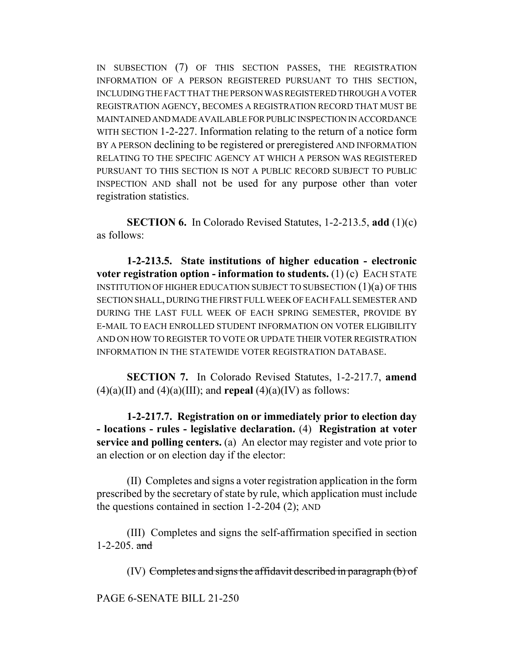IN SUBSECTION (7) OF THIS SECTION PASSES, THE REGISTRATION INFORMATION OF A PERSON REGISTERED PURSUANT TO THIS SECTION, INCLUDING THE FACT THAT THE PERSON WAS REGISTERED THROUGH A VOTER REGISTRATION AGENCY, BECOMES A REGISTRATION RECORD THAT MUST BE MAINTAINED AND MADE AVAILABLE FOR PUBLIC INSPECTION IN ACCORDANCE WITH SECTION 1-2-227. Information relating to the return of a notice form BY A PERSON declining to be registered or preregistered AND INFORMATION RELATING TO THE SPECIFIC AGENCY AT WHICH A PERSON WAS REGISTERED PURSUANT TO THIS SECTION IS NOT A PUBLIC RECORD SUBJECT TO PUBLIC INSPECTION AND shall not be used for any purpose other than voter registration statistics.

**SECTION 6.** In Colorado Revised Statutes, 1-2-213.5, **add** (1)(c) as follows:

**1-2-213.5. State institutions of higher education - electronic voter registration option - information to students.** (1) (c) EACH STATE INSTITUTION OF HIGHER EDUCATION SUBJECT TO SUBSECTION (1)(a) OF THIS SECTION SHALL, DURING THE FIRST FULL WEEK OF EACH FALL SEMESTER AND DURING THE LAST FULL WEEK OF EACH SPRING SEMESTER, PROVIDE BY E-MAIL TO EACH ENROLLED STUDENT INFORMATION ON VOTER ELIGIBILITY AND ON HOW TO REGISTER TO VOTE OR UPDATE THEIR VOTER REGISTRATION INFORMATION IN THE STATEWIDE VOTER REGISTRATION DATABASE.

**SECTION 7.** In Colorado Revised Statutes, 1-2-217.7, **amend**  $(4)(a)(II)$  and  $(4)(a)(III)$ ; and **repeal**  $(4)(a)(IV)$  as follows:

**1-2-217.7. Registration on or immediately prior to election day - locations - rules - legislative declaration.** (4) **Registration at voter service and polling centers.** (a) An elector may register and vote prior to an election or on election day if the elector:

(II) Completes and signs a voter registration application in the form prescribed by the secretary of state by rule, which application must include the questions contained in section 1-2-204 (2); AND

(III) Completes and signs the self-affirmation specified in section 1-2-205.  $\text{and}$ 

 $(IV)$  Completes and signs the affidavit described in paragraph  $(b)$  of

PAGE 6-SENATE BILL 21-250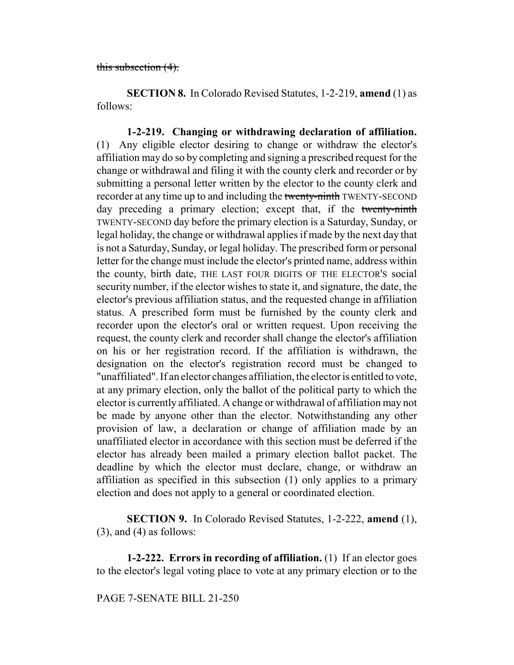# this subsection (4).

**SECTION 8.** In Colorado Revised Statutes, 1-2-219, **amend** (1) as follows:

**1-2-219. Changing or withdrawing declaration of affiliation.** (1) Any eligible elector desiring to change or withdraw the elector's affiliation may do so by completing and signing a prescribed request for the change or withdrawal and filing it with the county clerk and recorder or by submitting a personal letter written by the elector to the county clerk and recorder at any time up to and including the twenty-ninth TWENTY-SECOND day preceding a primary election; except that, if the twenty-ninth TWENTY-SECOND day before the primary election is a Saturday, Sunday, or legal holiday, the change or withdrawal applies if made by the next day that is not a Saturday, Sunday, or legal holiday. The prescribed form or personal letter for the change must include the elector's printed name, address within the county, birth date, THE LAST FOUR DIGITS OF THE ELECTOR'S social security number, if the elector wishes to state it, and signature, the date, the elector's previous affiliation status, and the requested change in affiliation status. A prescribed form must be furnished by the county clerk and recorder upon the elector's oral or written request. Upon receiving the request, the county clerk and recorder shall change the elector's affiliation on his or her registration record. If the affiliation is withdrawn, the designation on the elector's registration record must be changed to "unaffiliated". If an elector changes affiliation, the elector is entitled to vote, at any primary election, only the ballot of the political party to which the elector is currently affiliated. A change or withdrawal of affiliation may not be made by anyone other than the elector. Notwithstanding any other provision of law, a declaration or change of affiliation made by an unaffiliated elector in accordance with this section must be deferred if the elector has already been mailed a primary election ballot packet. The deadline by which the elector must declare, change, or withdraw an affiliation as specified in this subsection (1) only applies to a primary election and does not apply to a general or coordinated election.

**SECTION 9.** In Colorado Revised Statutes, 1-2-222, **amend** (1),  $(3)$ , and  $(4)$  as follows:

**1-2-222. Errors in recording of affiliation.** (1) If an elector goes to the elector's legal voting place to vote at any primary election or to the

PAGE 7-SENATE BILL 21-250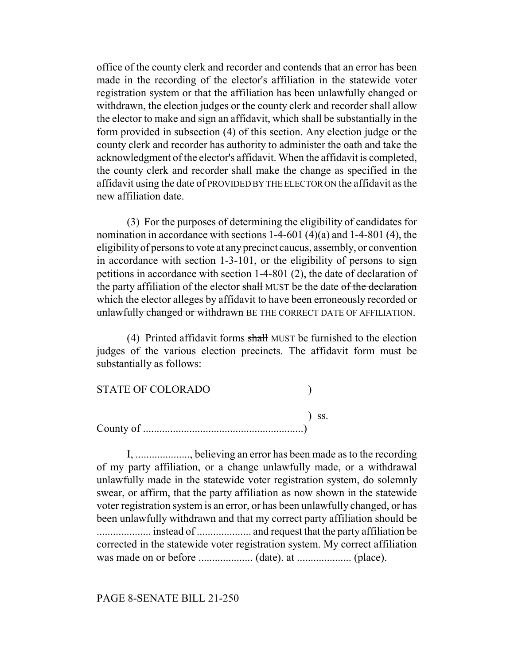office of the county clerk and recorder and contends that an error has been made in the recording of the elector's affiliation in the statewide voter registration system or that the affiliation has been unlawfully changed or withdrawn, the election judges or the county clerk and recorder shall allow the elector to make and sign an affidavit, which shall be substantially in the form provided in subsection (4) of this section. Any election judge or the county clerk and recorder has authority to administer the oath and take the acknowledgment of the elector's affidavit. When the affidavit is completed, the county clerk and recorder shall make the change as specified in the affidavit using the date  $\sigma$ f PROVIDED BY THE ELECTOR ON the affidavit as the new affiliation date.

(3) For the purposes of determining the eligibility of candidates for nomination in accordance with sections 1-4-601 (4)(a) and 1-4-801 (4), the eligibility of persons to vote at any precinct caucus, assembly, or convention in accordance with section 1-3-101, or the eligibility of persons to sign petitions in accordance with section 1-4-801 (2), the date of declaration of the party affiliation of the elector shall MUST be the date of the declaration which the elector alleges by affidavit to have been erroneously recorded or unlawfully changed or withdrawn BE THE CORRECT DATE OF AFFILIATION.

(4) Printed affidavit forms shall MUST be furnished to the election judges of the various election precincts. The affidavit form must be substantially as follows:

| <b>STATE OF COLORADO</b>                                                             |            |
|--------------------------------------------------------------------------------------|------------|
| County of $\dots \dots \dots \dots \dots \dots \dots \dots \dots \dots \dots \dots)$ | $\sum$ SS. |

I, ...................., believing an error has been made as to the recording of my party affiliation, or a change unlawfully made, or a withdrawal unlawfully made in the statewide voter registration system, do solemnly swear, or affirm, that the party affiliation as now shown in the statewide voter registration system is an error, or has been unlawfully changed, or has been unlawfully withdrawn and that my correct party affiliation should be .................... instead of .................... and request that the party affiliation be corrected in the statewide voter registration system. My correct affiliation was made on or before .................... (date). at .................... (place).

#### PAGE 8-SENATE BILL 21-250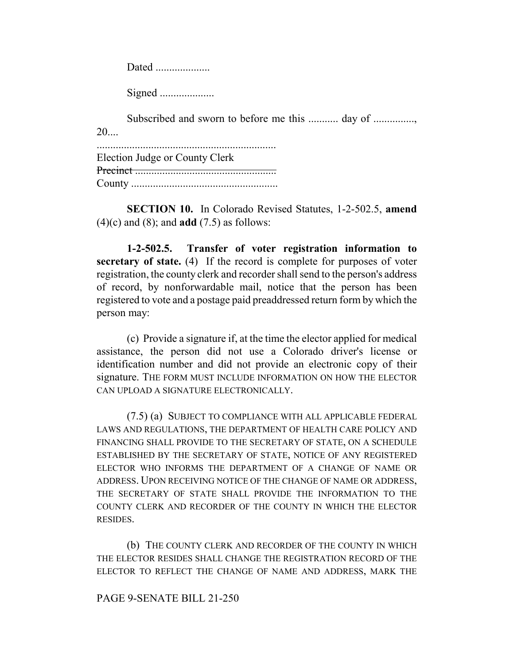Dated .....................

Signed ....................

Subscribed and sworn to before me this ............ day of ................  $20...$ 

.................................................................. Election Judge or County Clerk Precinct .................................................... County ......................................................

**SECTION 10.** In Colorado Revised Statutes, 1-2-502.5, **amend** (4)(c) and (8); and **add** (7.5) as follows:

**1-2-502.5. Transfer of voter registration information to secretary of state.** (4) If the record is complete for purposes of voter registration, the county clerk and recorder shall send to the person's address of record, by nonforwardable mail, notice that the person has been registered to vote and a postage paid preaddressed return form by which the person may:

(c) Provide a signature if, at the time the elector applied for medical assistance, the person did not use a Colorado driver's license or identification number and did not provide an electronic copy of their signature. THE FORM MUST INCLUDE INFORMATION ON HOW THE ELECTOR CAN UPLOAD A SIGNATURE ELECTRONICALLY.

(7.5) (a) SUBJECT TO COMPLIANCE WITH ALL APPLICABLE FEDERAL LAWS AND REGULATIONS, THE DEPARTMENT OF HEALTH CARE POLICY AND FINANCING SHALL PROVIDE TO THE SECRETARY OF STATE, ON A SCHEDULE ESTABLISHED BY THE SECRETARY OF STATE, NOTICE OF ANY REGISTERED ELECTOR WHO INFORMS THE DEPARTMENT OF A CHANGE OF NAME OR ADDRESS. UPON RECEIVING NOTICE OF THE CHANGE OF NAME OR ADDRESS, THE SECRETARY OF STATE SHALL PROVIDE THE INFORMATION TO THE COUNTY CLERK AND RECORDER OF THE COUNTY IN WHICH THE ELECTOR RESIDES.

(b) THE COUNTY CLERK AND RECORDER OF THE COUNTY IN WHICH THE ELECTOR RESIDES SHALL CHANGE THE REGISTRATION RECORD OF THE ELECTOR TO REFLECT THE CHANGE OF NAME AND ADDRESS, MARK THE

## PAGE 9-SENATE BILL 21-250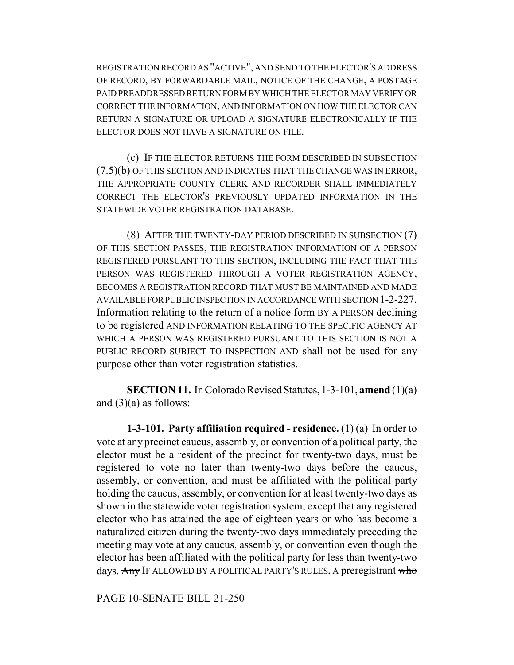REGISTRATION RECORD AS "ACTIVE", AND SEND TO THE ELECTOR'S ADDRESS OF RECORD, BY FORWARDABLE MAIL, NOTICE OF THE CHANGE, A POSTAGE PAID PREADDRESSED RETURN FORM BY WHICH THE ELECTOR MAY VERIFY OR CORRECT THE INFORMATION, AND INFORMATION ON HOW THE ELECTOR CAN RETURN A SIGNATURE OR UPLOAD A SIGNATURE ELECTRONICALLY IF THE ELECTOR DOES NOT HAVE A SIGNATURE ON FILE.

(c) IF THE ELECTOR RETURNS THE FORM DESCRIBED IN SUBSECTION (7.5)(b) OF THIS SECTION AND INDICATES THAT THE CHANGE WAS IN ERROR, THE APPROPRIATE COUNTY CLERK AND RECORDER SHALL IMMEDIATELY CORRECT THE ELECTOR'S PREVIOUSLY UPDATED INFORMATION IN THE STATEWIDE VOTER REGISTRATION DATABASE.

(8) AFTER THE TWENTY-DAY PERIOD DESCRIBED IN SUBSECTION (7) OF THIS SECTION PASSES, THE REGISTRATION INFORMATION OF A PERSON REGISTERED PURSUANT TO THIS SECTION, INCLUDING THE FACT THAT THE PERSON WAS REGISTERED THROUGH A VOTER REGISTRATION AGENCY, BECOMES A REGISTRATION RECORD THAT MUST BE MAINTAINED AND MADE AVAILABLE FOR PUBLIC INSPECTION IN ACCORDANCE WITH SECTION 1-2-227. Information relating to the return of a notice form BY A PERSON declining to be registered AND INFORMATION RELATING TO THE SPECIFIC AGENCY AT WHICH A PERSON WAS REGISTERED PURSUANT TO THIS SECTION IS NOT A PUBLIC RECORD SUBJECT TO INSPECTION AND shall not be used for any purpose other than voter registration statistics.

**SECTION 11.** In Colorado Revised Statutes, 1-3-101, **amend** (1)(a) and  $(3)(a)$  as follows:

**1-3-101. Party affiliation required - residence.** (1) (a) In order to vote at any precinct caucus, assembly, or convention of a political party, the elector must be a resident of the precinct for twenty-two days, must be registered to vote no later than twenty-two days before the caucus, assembly, or convention, and must be affiliated with the political party holding the caucus, assembly, or convention for at least twenty-two days as shown in the statewide voter registration system; except that any registered elector who has attained the age of eighteen years or who has become a naturalized citizen during the twenty-two days immediately preceding the meeting may vote at any caucus, assembly, or convention even though the elector has been affiliated with the political party for less than twenty-two days. Any IF ALLOWED BY A POLITICAL PARTY'S RULES, A preregistrant who

PAGE 10-SENATE BILL 21-250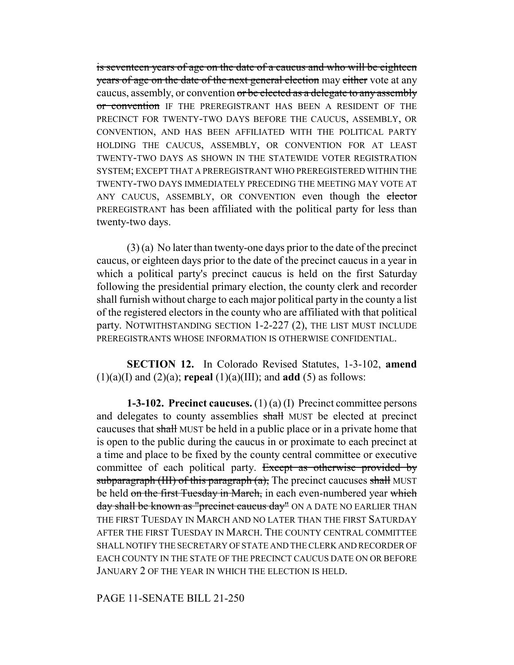is seventeen years of age on the date of a caucus and who will be eighteen years of age on the date of the next general election may either vote at any caucus, assembly, or convention or be elected as a delegate to any assembly or convention IF THE PREREGISTRANT HAS BEEN A RESIDENT OF THE PRECINCT FOR TWENTY-TWO DAYS BEFORE THE CAUCUS, ASSEMBLY, OR CONVENTION, AND HAS BEEN AFFILIATED WITH THE POLITICAL PARTY HOLDING THE CAUCUS, ASSEMBLY, OR CONVENTION FOR AT LEAST TWENTY-TWO DAYS AS SHOWN IN THE STATEWIDE VOTER REGISTRATION SYSTEM; EXCEPT THAT A PREREGISTRANT WHO PREREGISTERED WITHIN THE TWENTY-TWO DAYS IMMEDIATELY PRECEDING THE MEETING MAY VOTE AT ANY CAUCUS, ASSEMBLY, OR CONVENTION even though the elector PREREGISTRANT has been affiliated with the political party for less than twenty-two days.

(3) (a) No later than twenty-one days prior to the date of the precinct caucus, or eighteen days prior to the date of the precinct caucus in a year in which a political party's precinct caucus is held on the first Saturday following the presidential primary election, the county clerk and recorder shall furnish without charge to each major political party in the county a list of the registered electors in the county who are affiliated with that political party. NOTWITHSTANDING SECTION 1-2-227 (2), THE LIST MUST INCLUDE PREREGISTRANTS WHOSE INFORMATION IS OTHERWISE CONFIDENTIAL.

**SECTION 12.** In Colorado Revised Statutes, 1-3-102, **amend**  $(1)(a)(I)$  and  $(2)(a)$ ; **repeal**  $(1)(a)(III)$ ; and **add**  $(5)$  as follows:

**1-3-102. Precinct caucuses.** (1) (a) (I) Precinct committee persons and delegates to county assemblies shall MUST be elected at precinct caucuses that shall MUST be held in a public place or in a private home that is open to the public during the caucus in or proximate to each precinct at a time and place to be fixed by the county central committee or executive committee of each political party. Except as otherwise provided by subparagraph (III) of this paragraph  $(a)$ , The precinct caucuses shall MUST be held on the first Tuesday in March, in each even-numbered year which day shall be known as "precinct caucus day" ON A DATE NO EARLIER THAN THE FIRST TUESDAY IN MARCH AND NO LATER THAN THE FIRST SATURDAY AFTER THE FIRST TUESDAY IN MARCH. THE COUNTY CENTRAL COMMITTEE SHALL NOTIFY THE SECRETARY OF STATE AND THE CLERK AND RECORDER OF EACH COUNTY IN THE STATE OF THE PRECINCT CAUCUS DATE ON OR BEFORE JANUARY 2 OF THE YEAR IN WHICH THE ELECTION IS HELD.

PAGE 11-SENATE BILL 21-250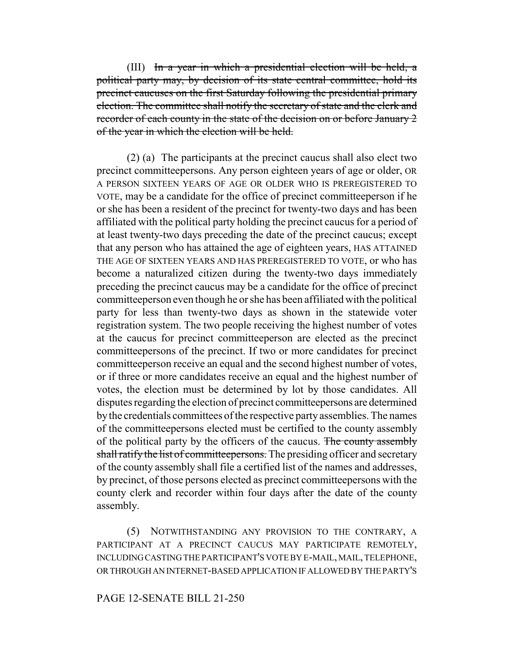(III) In a year in which a presidential election will be held, a political party may, by decision of its state central committee, hold its precinct caucuses on the first Saturday following the presidential primary election. The committee shall notify the secretary of state and the clerk and recorder of each county in the state of the decision on or before January 2 of the year in which the election will be held.

(2) (a) The participants at the precinct caucus shall also elect two precinct committeepersons. Any person eighteen years of age or older, OR A PERSON SIXTEEN YEARS OF AGE OR OLDER WHO IS PREREGISTERED TO VOTE, may be a candidate for the office of precinct committeeperson if he or she has been a resident of the precinct for twenty-two days and has been affiliated with the political party holding the precinct caucus for a period of at least twenty-two days preceding the date of the precinct caucus; except that any person who has attained the age of eighteen years, HAS ATTAINED THE AGE OF SIXTEEN YEARS AND HAS PREREGISTERED TO VOTE, or who has become a naturalized citizen during the twenty-two days immediately preceding the precinct caucus may be a candidate for the office of precinct committeeperson even though he or she has been affiliated with the political party for less than twenty-two days as shown in the statewide voter registration system. The two people receiving the highest number of votes at the caucus for precinct committeeperson are elected as the precinct committeepersons of the precinct. If two or more candidates for precinct committeeperson receive an equal and the second highest number of votes, or if three or more candidates receive an equal and the highest number of votes, the election must be determined by lot by those candidates. All disputes regarding the election of precinct committeepersons are determined by the credentials committees of the respective party assemblies. The names of the committeepersons elected must be certified to the county assembly of the political party by the officers of the caucus. The county assembly shall ratify the list of committeepersons. The presiding officer and secretary of the county assembly shall file a certified list of the names and addresses, by precinct, of those persons elected as precinct committeepersons with the county clerk and recorder within four days after the date of the county assembly.

(5) NOTWITHSTANDING ANY PROVISION TO THE CONTRARY, A PARTICIPANT AT A PRECINCT CAUCUS MAY PARTICIPATE REMOTELY, INCLUDING CASTING THE PARTICIPANT'S VOTE BY E-MAIL, MAIL, TELEPHONE, OR THROUGH AN INTERNET-BASED APPLICATION IF ALLOWED BY THE PARTY'S

#### PAGE 12-SENATE BILL 21-250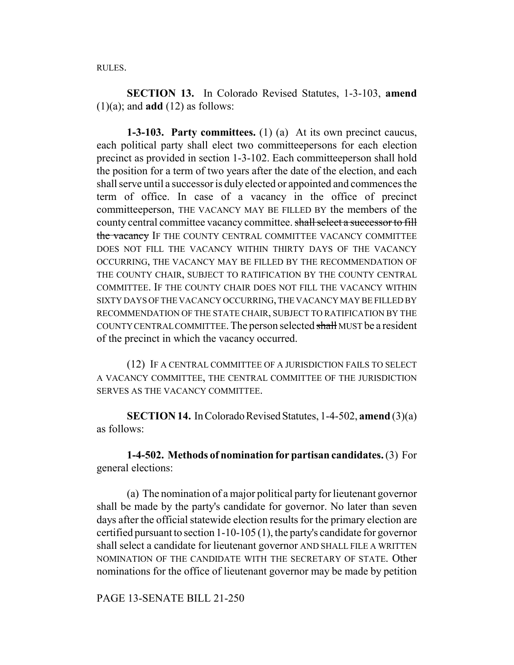RULES.

**SECTION 13.** In Colorado Revised Statutes, 1-3-103, **amend**  $(1)(a)$ ; and **add**  $(12)$  as follows:

**1-3-103. Party committees.** (1) (a) At its own precinct caucus, each political party shall elect two committeepersons for each election precinct as provided in section 1-3-102. Each committeeperson shall hold the position for a term of two years after the date of the election, and each shall serve until a successor is duly elected or appointed and commences the term of office. In case of a vacancy in the office of precinct committeeperson, THE VACANCY MAY BE FILLED BY the members of the county central committee vacancy committee. shall select a successor to fill the vacancy IF THE COUNTY CENTRAL COMMITTEE VACANCY COMMITTEE DOES NOT FILL THE VACANCY WITHIN THIRTY DAYS OF THE VACANCY OCCURRING, THE VACANCY MAY BE FILLED BY THE RECOMMENDATION OF THE COUNTY CHAIR, SUBJECT TO RATIFICATION BY THE COUNTY CENTRAL COMMITTEE. IF THE COUNTY CHAIR DOES NOT FILL THE VACANCY WITHIN SIXTY DAYS OF THE VACANCY OCCURRING, THE VACANCY MAY BE FILLED BY RECOMMENDATION OF THE STATE CHAIR, SUBJECT TO RATIFICATION BY THE COUNTY CENTRAL COMMITTEE. The person selected shall MUST be a resident of the precinct in which the vacancy occurred.

(12) IF A CENTRAL COMMITTEE OF A JURISDICTION FAILS TO SELECT A VACANCY COMMITTEE, THE CENTRAL COMMITTEE OF THE JURISDICTION SERVES AS THE VACANCY COMMITTEE.

**SECTION 14.** In Colorado Revised Statutes, 1-4-502, **amend** (3)(a) as follows:

**1-4-502. Methods of nomination for partisan candidates.** (3) For general elections:

(a) The nomination of a major political party for lieutenant governor shall be made by the party's candidate for governor. No later than seven days after the official statewide election results for the primary election are certified pursuant to section 1-10-105 (1), the party's candidate for governor shall select a candidate for lieutenant governor AND SHALL FILE A WRITTEN NOMINATION OF THE CANDIDATE WITH THE SECRETARY OF STATE. Other nominations for the office of lieutenant governor may be made by petition

PAGE 13-SENATE BILL 21-250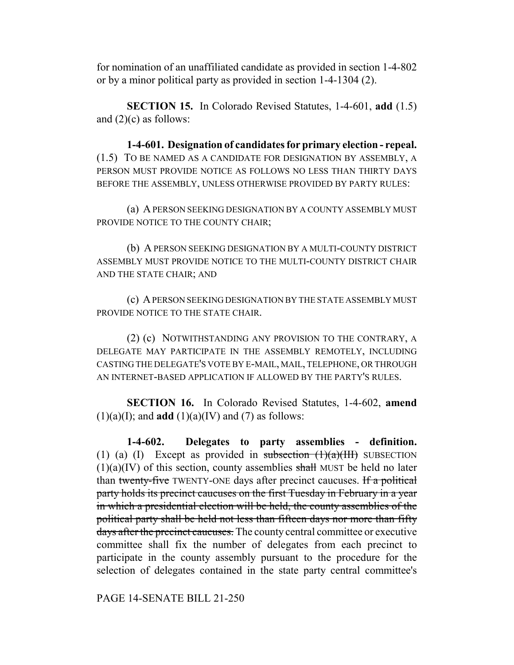for nomination of an unaffiliated candidate as provided in section 1-4-802 or by a minor political party as provided in section 1-4-1304 (2).

**SECTION 15.** In Colorado Revised Statutes, 1-4-601, **add** (1.5) and  $(2)(c)$  as follows:

**1-4-601. Designation of candidates for primary election - repeal.** (1.5) TO BE NAMED AS A CANDIDATE FOR DESIGNATION BY ASSEMBLY, A PERSON MUST PROVIDE NOTICE AS FOLLOWS NO LESS THAN THIRTY DAYS BEFORE THE ASSEMBLY, UNLESS OTHERWISE PROVIDED BY PARTY RULES:

(a) A PERSON SEEKING DESIGNATION BY A COUNTY ASSEMBLY MUST PROVIDE NOTICE TO THE COUNTY CHAIR;

(b) A PERSON SEEKING DESIGNATION BY A MULTI-COUNTY DISTRICT ASSEMBLY MUST PROVIDE NOTICE TO THE MULTI-COUNTY DISTRICT CHAIR AND THE STATE CHAIR; AND

(c) A PERSON SEEKING DESIGNATION BY THE STATE ASSEMBLY MUST PROVIDE NOTICE TO THE STATE CHAIR.

(2) (c) NOTWITHSTANDING ANY PROVISION TO THE CONTRARY, A DELEGATE MAY PARTICIPATE IN THE ASSEMBLY REMOTELY, INCLUDING CASTING THE DELEGATE'S VOTE BY E-MAIL, MAIL, TELEPHONE, OR THROUGH AN INTERNET-BASED APPLICATION IF ALLOWED BY THE PARTY'S RULES.

**SECTION 16.** In Colorado Revised Statutes, 1-4-602, **amend**  $(1)(a)(I)$ ; and **add**  $(1)(a)(IV)$  and  $(7)$  as follows:

**1-4-602. Delegates to party assemblies - definition.** (1) (a) (I) Except as provided in subsection  $(1)(a)(III)$  SUBSECTION  $(1)(a)(IV)$  of this section, county assemblies shall MUST be held no later than twenty-five TWENTY-ONE days after precinct caucuses. If a political party holds its precinct caucuses on the first Tuesday in February in a year in which a presidential election will be held, the county assemblies of the political party shall be held not less than fifteen days nor more than fifty days after the precinct caucuses. The county central committee or executive committee shall fix the number of delegates from each precinct to participate in the county assembly pursuant to the procedure for the selection of delegates contained in the state party central committee's

PAGE 14-SENATE BILL 21-250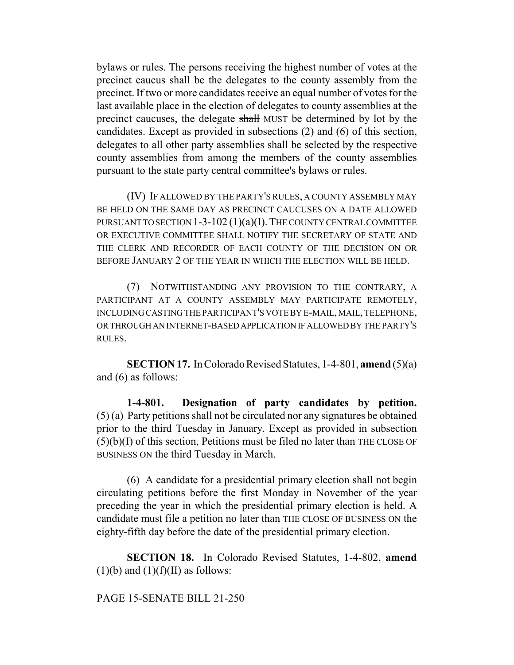bylaws or rules. The persons receiving the highest number of votes at the precinct caucus shall be the delegates to the county assembly from the precinct. If two or more candidates receive an equal number of votes for the last available place in the election of delegates to county assemblies at the precinct caucuses, the delegate shall MUST be determined by lot by the candidates. Except as provided in subsections (2) and (6) of this section, delegates to all other party assemblies shall be selected by the respective county assemblies from among the members of the county assemblies pursuant to the state party central committee's bylaws or rules.

(IV) IF ALLOWED BY THE PARTY'S RULES, A COUNTY ASSEMBLY MAY BE HELD ON THE SAME DAY AS PRECINCT CAUCUSES ON A DATE ALLOWED PURSUANT TO SECTION 1-3-102 (1)(a)(I). THE COUNTY CENTRAL COMMITTEE OR EXECUTIVE COMMITTEE SHALL NOTIFY THE SECRETARY OF STATE AND THE CLERK AND RECORDER OF EACH COUNTY OF THE DECISION ON OR BEFORE JANUARY 2 OF THE YEAR IN WHICH THE ELECTION WILL BE HELD.

(7) NOTWITHSTANDING ANY PROVISION TO THE CONTRARY, A PARTICIPANT AT A COUNTY ASSEMBLY MAY PARTICIPATE REMOTELY, INCLUDING CASTING THE PARTICIPANT'S VOTE BY E-MAIL, MAIL, TELEPHONE, OR THROUGH AN INTERNET-BASED APPLICATION IF ALLOWED BY THE PARTY'S RULES.

**SECTION 17.** In Colorado Revised Statutes, 1-4-801, **amend** (5)(a) and (6) as follows:

**1-4-801. Designation of party candidates by petition.** (5) (a) Party petitions shall not be circulated nor any signatures be obtained prior to the third Tuesday in January. Except as provided in subsection  $(5)(b)(I)$  of this section, Petitions must be filed no later than THE CLOSE OF BUSINESS ON the third Tuesday in March.

(6) A candidate for a presidential primary election shall not begin circulating petitions before the first Monday in November of the year preceding the year in which the presidential primary election is held. A candidate must file a petition no later than THE CLOSE OF BUSINESS ON the eighty-fifth day before the date of the presidential primary election.

**SECTION 18.** In Colorado Revised Statutes, 1-4-802, **amend**  $(1)(b)$  and  $(1)(f)(II)$  as follows:

PAGE 15-SENATE BILL 21-250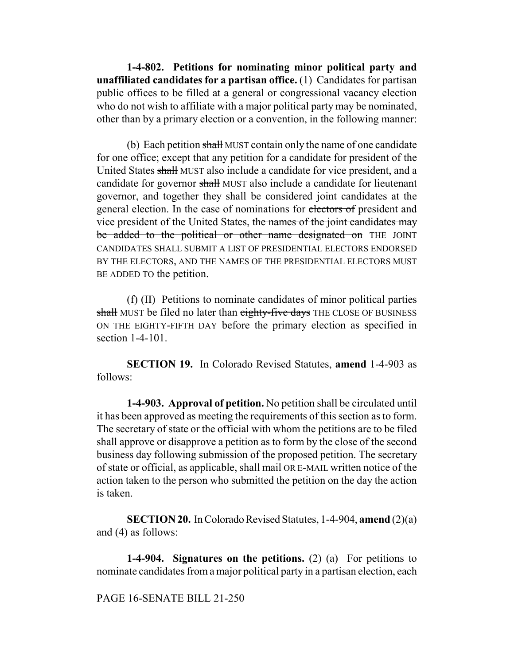**1-4-802. Petitions for nominating minor political party and unaffiliated candidates for a partisan office.** (1) Candidates for partisan public offices to be filled at a general or congressional vacancy election who do not wish to affiliate with a major political party may be nominated, other than by a primary election or a convention, in the following manner:

(b) Each petition shall MUST contain only the name of one candidate for one office; except that any petition for a candidate for president of the United States shall MUST also include a candidate for vice president, and a candidate for governor shall MUST also include a candidate for lieutenant governor, and together they shall be considered joint candidates at the general election. In the case of nominations for electors of president and vice president of the United States, the names of the joint candidates may be added to the political or other name designated on THE JOINT CANDIDATES SHALL SUBMIT A LIST OF PRESIDENTIAL ELECTORS ENDORSED BY THE ELECTORS, AND THE NAMES OF THE PRESIDENTIAL ELECTORS MUST BE ADDED TO the petition.

(f) (II) Petitions to nominate candidates of minor political parties shall MUST be filed no later than eighty-five days THE CLOSE OF BUSINESS ON THE EIGHTY-FIFTH DAY before the primary election as specified in section 1-4-101.

**SECTION 19.** In Colorado Revised Statutes, **amend** 1-4-903 as follows:

**1-4-903. Approval of petition.** No petition shall be circulated until it has been approved as meeting the requirements of this section as to form. The secretary of state or the official with whom the petitions are to be filed shall approve or disapprove a petition as to form by the close of the second business day following submission of the proposed petition. The secretary of state or official, as applicable, shall mail OR E-MAIL written notice of the action taken to the person who submitted the petition on the day the action is taken.

**SECTION 20.** In Colorado Revised Statutes, 1-4-904, **amend** (2)(a) and (4) as follows:

**1-4-904. Signatures on the petitions.** (2) (a) For petitions to nominate candidates from a major political party in a partisan election, each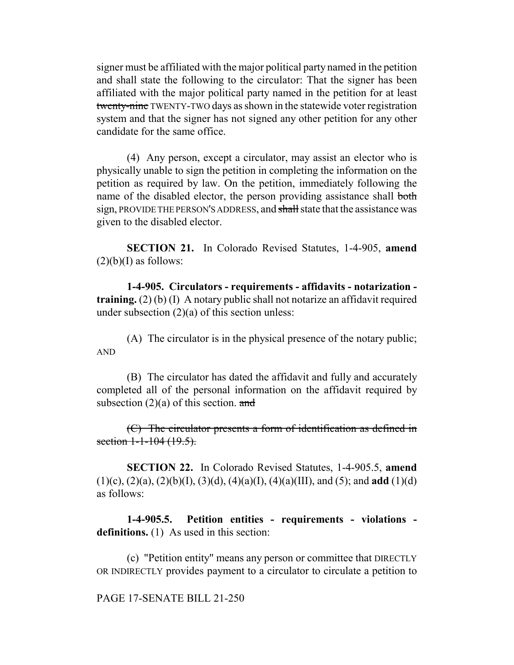signer must be affiliated with the major political party named in the petition and shall state the following to the circulator: That the signer has been affiliated with the major political party named in the petition for at least twenty-nine TWENTY-TWO days as shown in the statewide voter registration system and that the signer has not signed any other petition for any other candidate for the same office.

(4) Any person, except a circulator, may assist an elector who is physically unable to sign the petition in completing the information on the petition as required by law. On the petition, immediately following the name of the disabled elector, the person providing assistance shall both sign, PROVIDE THE PERSON'S ADDRESS, and shall state that the assistance was given to the disabled elector.

**SECTION 21.** In Colorado Revised Statutes, 1-4-905, **amend**  $(2)(b)(I)$  as follows:

**1-4-905. Circulators - requirements - affidavits - notarization training.** (2) (b) (I) A notary public shall not notarize an affidavit required under subsection  $(2)(a)$  of this section unless:

(A) The circulator is in the physical presence of the notary public; AND

(B) The circulator has dated the affidavit and fully and accurately completed all of the personal information on the affidavit required by subsection  $(2)(a)$  of this section. and

(C) The circulator presents a form of identification as defined in section  $1-1-104$   $(19.5)$ .

**SECTION 22.** In Colorado Revised Statutes, 1-4-905.5, **amend** (1)(c), (2)(a), (2)(b)(I), (3)(d), (4)(a)(I), (4)(a)(III), and (5); and **add** (1)(d) as follows:

**1-4-905.5. Petition entities - requirements - violations**  definitions. (1) As used in this section:

(c) "Petition entity" means any person or committee that DIRECTLY OR INDIRECTLY provides payment to a circulator to circulate a petition to

#### PAGE 17-SENATE BILL 21-250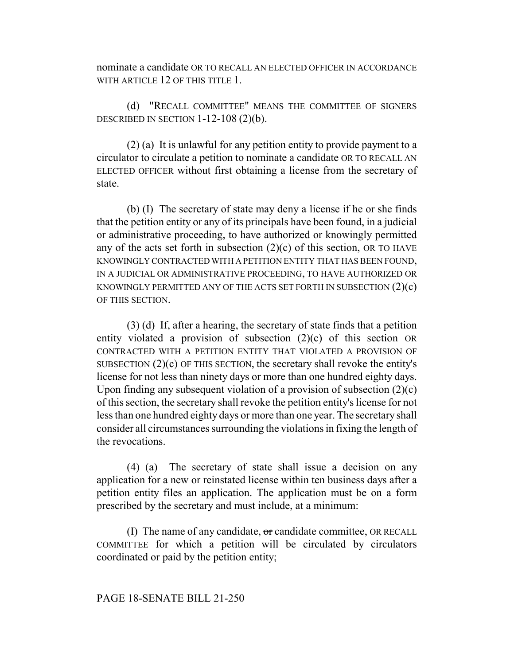nominate a candidate OR TO RECALL AN ELECTED OFFICER IN ACCORDANCE WITH ARTICLE 12 OF THIS TITLE 1.

(d) "RECALL COMMITTEE" MEANS THE COMMITTEE OF SIGNERS DESCRIBED IN SECTION  $1-12-108(2)(b)$ .

(2) (a) It is unlawful for any petition entity to provide payment to a circulator to circulate a petition to nominate a candidate OR TO RECALL AN ELECTED OFFICER without first obtaining a license from the secretary of state.

(b) (I) The secretary of state may deny a license if he or she finds that the petition entity or any of its principals have been found, in a judicial or administrative proceeding, to have authorized or knowingly permitted any of the acts set forth in subsection  $(2)(c)$  of this section, OR TO HAVE KNOWINGLY CONTRACTED WITH A PETITION ENTITY THAT HAS BEEN FOUND, IN A JUDICIAL OR ADMINISTRATIVE PROCEEDING, TO HAVE AUTHORIZED OR KNOWINGLY PERMITTED ANY OF THE ACTS SET FORTH IN SUBSECTION  $(2)(c)$ OF THIS SECTION.

(3) (d) If, after a hearing, the secretary of state finds that a petition entity violated a provision of subsection (2)(c) of this section OR CONTRACTED WITH A PETITION ENTITY THAT VIOLATED A PROVISION OF SUBSECTION (2)(c) OF THIS SECTION, the secretary shall revoke the entity's license for not less than ninety days or more than one hundred eighty days. Upon finding any subsequent violation of a provision of subsection  $(2)(c)$ of this section, the secretary shall revoke the petition entity's license for not less than one hundred eighty days or more than one year. The secretary shall consider all circumstances surrounding the violations in fixing the length of the revocations.

(4) (a) The secretary of state shall issue a decision on any application for a new or reinstated license within ten business days after a petition entity files an application. The application must be on a form prescribed by the secretary and must include, at a minimum:

(I) The name of any candidate,  $\sigma$  candidate committee, OR RECALL COMMITTEE for which a petition will be circulated by circulators coordinated or paid by the petition entity;

## PAGE 18-SENATE BILL 21-250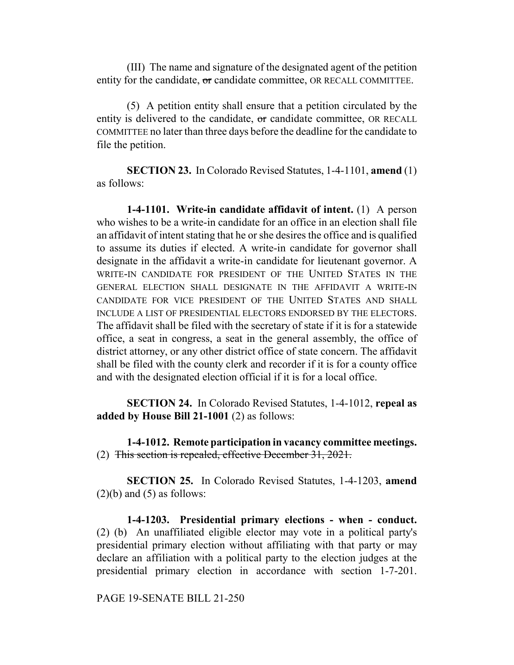(III) The name and signature of the designated agent of the petition entity for the candidate, or candidate committee, OR RECALL COMMITTEE.

(5) A petition entity shall ensure that a petition circulated by the entity is delivered to the candidate,  $\sigma$  candidate committee, OR RECALL COMMITTEE no later than three days before the deadline for the candidate to file the petition.

**SECTION 23.** In Colorado Revised Statutes, 1-4-1101, **amend** (1) as follows:

**1-4-1101. Write-in candidate affidavit of intent.** (1) A person who wishes to be a write-in candidate for an office in an election shall file an affidavit of intent stating that he or she desires the office and is qualified to assume its duties if elected. A write-in candidate for governor shall designate in the affidavit a write-in candidate for lieutenant governor. A WRITE-IN CANDIDATE FOR PRESIDENT OF THE UNITED STATES IN THE GENERAL ELECTION SHALL DESIGNATE IN THE AFFIDAVIT A WRITE-IN CANDIDATE FOR VICE PRESIDENT OF THE UNITED STATES AND SHALL INCLUDE A LIST OF PRESIDENTIAL ELECTORS ENDORSED BY THE ELECTORS. The affidavit shall be filed with the secretary of state if it is for a statewide office, a seat in congress, a seat in the general assembly, the office of district attorney, or any other district office of state concern. The affidavit shall be filed with the county clerk and recorder if it is for a county office and with the designated election official if it is for a local office.

**SECTION 24.** In Colorado Revised Statutes, 1-4-1012, **repeal as added by House Bill 21-1001** (2) as follows:

**1-4-1012. Remote participation in vacancy committee meetings.** (2) This section is repealed, effective December 31, 2021.

**SECTION 25.** In Colorado Revised Statutes, 1-4-1203, **amend**  $(2)(b)$  and  $(5)$  as follows:

**1-4-1203. Presidential primary elections - when - conduct.** (2) (b) An unaffiliated eligible elector may vote in a political party's presidential primary election without affiliating with that party or may declare an affiliation with a political party to the election judges at the presidential primary election in accordance with section 1-7-201.

PAGE 19-SENATE BILL 21-250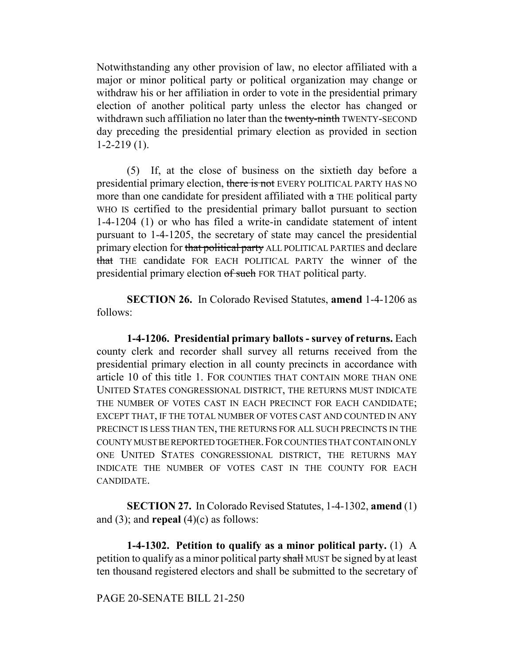Notwithstanding any other provision of law, no elector affiliated with a major or minor political party or political organization may change or withdraw his or her affiliation in order to vote in the presidential primary election of another political party unless the elector has changed or withdrawn such affiliation no later than the twenty-ninth TWENTY-SECOND day preceding the presidential primary election as provided in section 1-2-219 (1).

(5) If, at the close of business on the sixtieth day before a presidential primary election, there is not EVERY POLITICAL PARTY HAS NO more than one candidate for president affiliated with  $\alpha$  THE political party WHO IS certified to the presidential primary ballot pursuant to section 1-4-1204 (1) or who has filed a write-in candidate statement of intent pursuant to 1-4-1205, the secretary of state may cancel the presidential primary election for that political party ALL POLITICAL PARTIES and declare that THE candidate FOR EACH POLITICAL PARTY the winner of the presidential primary election of such FOR THAT political party.

**SECTION 26.** In Colorado Revised Statutes, **amend** 1-4-1206 as follows:

**1-4-1206. Presidential primary ballots - survey of returns.** Each county clerk and recorder shall survey all returns received from the presidential primary election in all county precincts in accordance with article 10 of this title 1. FOR COUNTIES THAT CONTAIN MORE THAN ONE UNITED STATES CONGRESSIONAL DISTRICT, THE RETURNS MUST INDICATE THE NUMBER OF VOTES CAST IN EACH PRECINCT FOR EACH CANDIDATE; EXCEPT THAT, IF THE TOTAL NUMBER OF VOTES CAST AND COUNTED IN ANY PRECINCT IS LESS THAN TEN, THE RETURNS FOR ALL SUCH PRECINCTS IN THE COUNTY MUST BE REPORTED TOGETHER.FOR COUNTIES THAT CONTAIN ONLY ONE UNITED STATES CONGRESSIONAL DISTRICT, THE RETURNS MAY INDICATE THE NUMBER OF VOTES CAST IN THE COUNTY FOR EACH CANDIDATE.

**SECTION 27.** In Colorado Revised Statutes, 1-4-1302, **amend** (1) and (3); and **repeal** (4)(c) as follows:

**1-4-1302. Petition to qualify as a minor political party.** (1) A petition to qualify as a minor political party shall MUST be signed by at least ten thousand registered electors and shall be submitted to the secretary of

## PAGE 20-SENATE BILL 21-250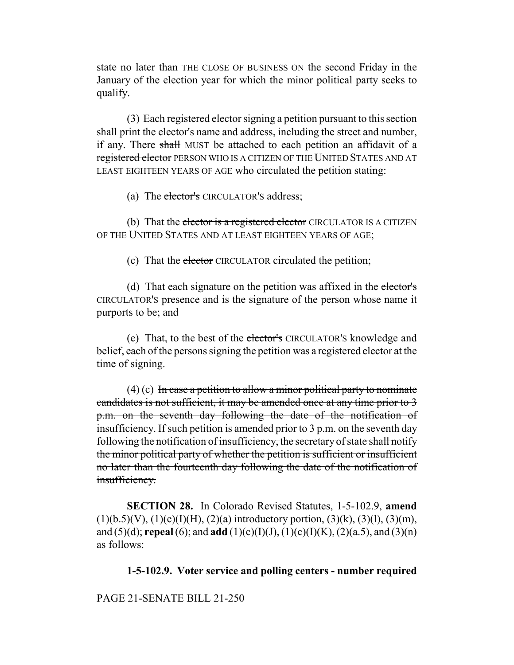state no later than THE CLOSE OF BUSINESS ON the second Friday in the January of the election year for which the minor political party seeks to qualify.

(3) Each registered elector signing a petition pursuant to this section shall print the elector's name and address, including the street and number, if any. There shall MUST be attached to each petition an affidavit of a registered elector PERSON WHO IS A CITIZEN OF THE UNITED STATES AND AT LEAST EIGHTEEN YEARS OF AGE who circulated the petition stating:

(a) The elector's CIRCULATOR'S address;

(b) That the elector is a registered elector CIRCULATOR IS A CITIZEN OF THE UNITED STATES AND AT LEAST EIGHTEEN YEARS OF AGE;

(c) That the elector CIRCULATOR circulated the petition;

(d) That each signature on the petition was affixed in the elector's CIRCULATOR'S presence and is the signature of the person whose name it purports to be; and

(e) That, to the best of the elector's CIRCULATOR'S knowledge and belief, each of the persons signing the petition was a registered elector at the time of signing.

 $(4)$  (c) In case a petition to allow a minor political party to nominate candidates is not sufficient, it may be amended once at any time prior to 3 p.m. on the seventh day following the date of the notification of insufficiency. If such petition is amended prior to 3 p.m. on the seventh day following the notification of insufficiency, the secretary of state shall notify the minor political party of whether the petition is sufficient or insufficient no later than the fourteenth day following the date of the notification of insufficiency.

**SECTION 28.** In Colorado Revised Statutes, 1-5-102.9, **amend**  $(1)(b.5)(V)$ ,  $(1)(c)(I)(H)$ ,  $(2)(a)$  introductory portion,  $(3)(k)$ ,  $(3)(l)$ ,  $(3)(m)$ , and (5)(d); **repeal** (6); and **add** (1)(c)(I)(J), (1)(c)(I)(K), (2)(a.5), and (3)(n) as follows:

# **1-5-102.9. Voter service and polling centers - number required**

## PAGE 21-SENATE BILL 21-250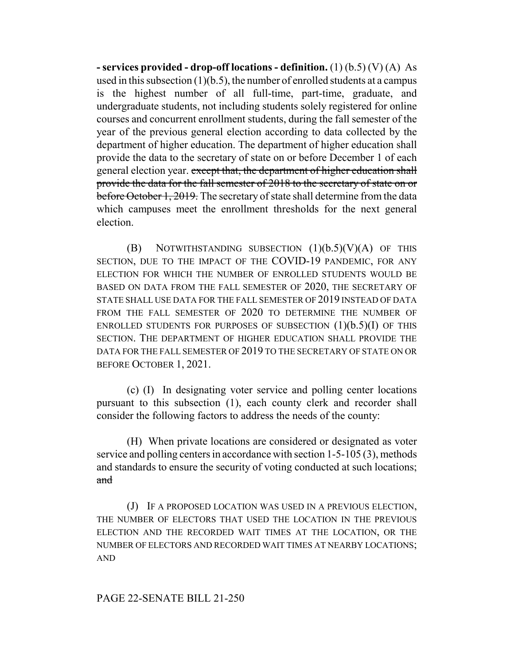**- services provided - drop-off locations - definition.** (1) (b.5) (V) (A) As used in this subsection  $(1)(b.5)$ , the number of enrolled students at a campus is the highest number of all full-time, part-time, graduate, and undergraduate students, not including students solely registered for online courses and concurrent enrollment students, during the fall semester of the year of the previous general election according to data collected by the department of higher education. The department of higher education shall provide the data to the secretary of state on or before December 1 of each general election year. except that, the department of higher education shall provide the data for the fall semester of 2018 to the secretary of state on or before October 1, 2019. The secretary of state shall determine from the data which campuses meet the enrollment thresholds for the next general election.

(B) NOTWITHSTANDING SUBSECTION  $(1)(b.5)(V)(A)$  OF THIS SECTION, DUE TO THE IMPACT OF THE COVID-19 PANDEMIC, FOR ANY ELECTION FOR WHICH THE NUMBER OF ENROLLED STUDENTS WOULD BE BASED ON DATA FROM THE FALL SEMESTER OF 2020, THE SECRETARY OF STATE SHALL USE DATA FOR THE FALL SEMESTER OF 2019 INSTEAD OF DATA FROM THE FALL SEMESTER OF 2020 TO DETERMINE THE NUMBER OF ENROLLED STUDENTS FOR PURPOSES OF SUBSECTION  $(1)(b.5)(I)$  OF THIS SECTION. THE DEPARTMENT OF HIGHER EDUCATION SHALL PROVIDE THE DATA FOR THE FALL SEMESTER OF 2019 TO THE SECRETARY OF STATE ON OR BEFORE OCTOBER 1, 2021.

(c) (I) In designating voter service and polling center locations pursuant to this subsection (1), each county clerk and recorder shall consider the following factors to address the needs of the county:

(H) When private locations are considered or designated as voter service and polling centers in accordance with section 1-5-105 (3), methods and standards to ensure the security of voting conducted at such locations; and

(J) IF A PROPOSED LOCATION WAS USED IN A PREVIOUS ELECTION, THE NUMBER OF ELECTORS THAT USED THE LOCATION IN THE PREVIOUS ELECTION AND THE RECORDED WAIT TIMES AT THE LOCATION, OR THE NUMBER OF ELECTORS AND RECORDED WAIT TIMES AT NEARBY LOCATIONS; AND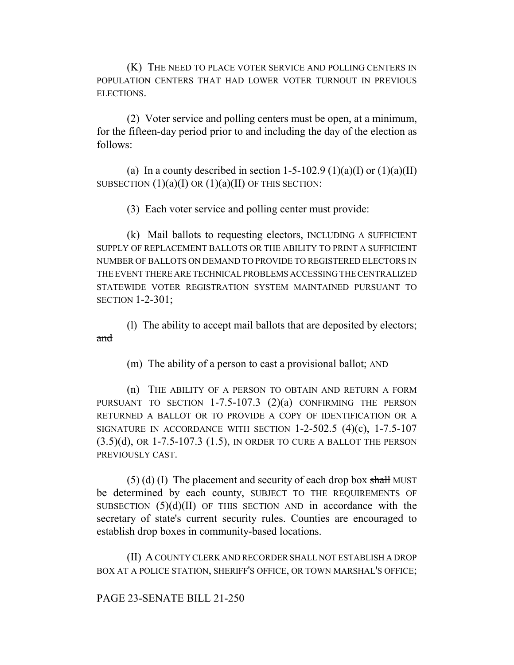(K) THE NEED TO PLACE VOTER SERVICE AND POLLING CENTERS IN POPULATION CENTERS THAT HAD LOWER VOTER TURNOUT IN PREVIOUS ELECTIONS.

(2) Voter service and polling centers must be open, at a minimum, for the fifteen-day period prior to and including the day of the election as follows:

(a) In a county described in section  $1-5-102.9$  (1)(a)(I) or (1)(a)(II) SUBSECTION  $(1)(a)(I)$  OR  $(1)(a)(II)$  OF THIS SECTION:

(3) Each voter service and polling center must provide:

(k) Mail ballots to requesting electors, INCLUDING A SUFFICIENT SUPPLY OF REPLACEMENT BALLOTS OR THE ABILITY TO PRINT A SUFFICIENT NUMBER OF BALLOTS ON DEMAND TO PROVIDE TO REGISTERED ELECTORS IN THE EVENT THERE ARE TECHNICAL PROBLEMS ACCESSING THE CENTRALIZED STATEWIDE VOTER REGISTRATION SYSTEM MAINTAINED PURSUANT TO SECTION 1-2-301;

(l) The ability to accept mail ballots that are deposited by electors; and

(m) The ability of a person to cast a provisional ballot; AND

(n) THE ABILITY OF A PERSON TO OBTAIN AND RETURN A FORM PURSUANT TO SECTION 1-7.5-107.3 (2)(a) CONFIRMING THE PERSON RETURNED A BALLOT OR TO PROVIDE A COPY OF IDENTIFICATION OR A SIGNATURE IN ACCORDANCE WITH SECTION  $1-2-502.5$  (4)(c),  $1-7.5-107$ (3.5)(d), OR 1-7.5-107.3 (1.5), IN ORDER TO CURE A BALLOT THE PERSON PREVIOUSLY CAST.

 $(5)$  (d) (I) The placement and security of each drop box shall MUST be determined by each county, SUBJECT TO THE REQUIREMENTS OF SUBSECTION  $(5)(d)(II)$  OF THIS SECTION AND in accordance with the secretary of state's current security rules. Counties are encouraged to establish drop boxes in community-based locations.

(II) A COUNTY CLERK AND RECORDER SHALL NOT ESTABLISH A DROP BOX AT A POLICE STATION, SHERIFF'S OFFICE, OR TOWN MARSHAL'S OFFICE;

## PAGE 23-SENATE BILL 21-250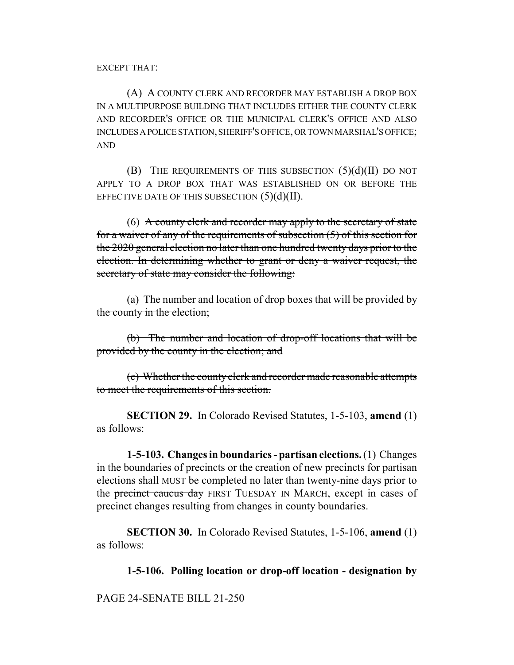EXCEPT THAT:

(A) A COUNTY CLERK AND RECORDER MAY ESTABLISH A DROP BOX IN A MULTIPURPOSE BUILDING THAT INCLUDES EITHER THE COUNTY CLERK AND RECORDER'S OFFICE OR THE MUNICIPAL CLERK'S OFFICE AND ALSO INCLUDES A POLICE STATION, SHERIFF'S OFFICE, OR TOWN MARSHAL'S OFFICE; AND

(B) THE REQUIREMENTS OF THIS SUBSECTION  $(5)(d)(II)$  DO NOT APPLY TO A DROP BOX THAT WAS ESTABLISHED ON OR BEFORE THE EFFECTIVE DATE OF THIS SUBSECTION  $(5)(d)(II)$ .

 $(6)$  A county clerk and recorder may apply to the secretary of state for a waiver of any of the requirements of subsection (5) of this section for the 2020 general election no later than one hundred twenty days prior to the election. In determining whether to grant or deny a waiver request, the secretary of state may consider the following:

(a) The number and location of drop boxes that will be provided by the county in the election;

(b) The number and location of drop-off locations that will be provided by the county in the election; and

(c) Whether the county clerk and recorder made reasonable attempts to meet the requirements of this section.

**SECTION 29.** In Colorado Revised Statutes, 1-5-103, **amend** (1) as follows:

**1-5-103. Changes in boundaries - partisan elections.** (1) Changes in the boundaries of precincts or the creation of new precincts for partisan elections shall MUST be completed no later than twenty-nine days prior to the precinct caucus day FIRST TUESDAY IN MARCH, except in cases of precinct changes resulting from changes in county boundaries.

**SECTION 30.** In Colorado Revised Statutes, 1-5-106, **amend** (1) as follows:

**1-5-106. Polling location or drop-off location - designation by**

PAGE 24-SENATE BILL 21-250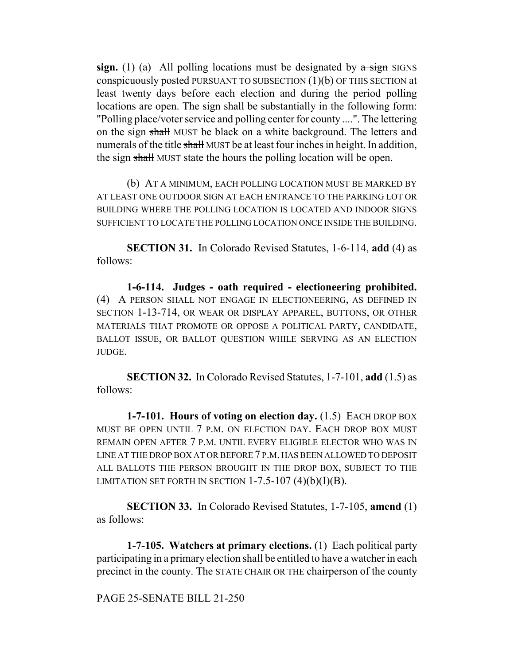**sign.** (1) (a) All polling locations must be designated by  $\alpha$  sign SIGNS conspicuously posted PURSUANT TO SUBSECTION (1)(b) OF THIS SECTION at least twenty days before each election and during the period polling locations are open. The sign shall be substantially in the following form: "Polling place/voter service and polling center for county ....". The lettering on the sign shall MUST be black on a white background. The letters and numerals of the title shall MUST be at least four inches in height. In addition, the sign shall MUST state the hours the polling location will be open.

(b) AT A MINIMUM, EACH POLLING LOCATION MUST BE MARKED BY AT LEAST ONE OUTDOOR SIGN AT EACH ENTRANCE TO THE PARKING LOT OR BUILDING WHERE THE POLLING LOCATION IS LOCATED AND INDOOR SIGNS SUFFICIENT TO LOCATE THE POLLING LOCATION ONCE INSIDE THE BUILDING.

**SECTION 31.** In Colorado Revised Statutes, 1-6-114, **add** (4) as follows:

**1-6-114. Judges - oath required - electioneering prohibited.** (4) A PERSON SHALL NOT ENGAGE IN ELECTIONEERING, AS DEFINED IN SECTION 1-13-714, OR WEAR OR DISPLAY APPAREL, BUTTONS, OR OTHER MATERIALS THAT PROMOTE OR OPPOSE A POLITICAL PARTY, CANDIDATE, BALLOT ISSUE, OR BALLOT QUESTION WHILE SERVING AS AN ELECTION JUDGE.

**SECTION 32.** In Colorado Revised Statutes, 1-7-101, **add** (1.5) as follows:

**1-7-101. Hours of voting on election day.** (1.5) EACH DROP BOX MUST BE OPEN UNTIL 7 P.M. ON ELECTION DAY. EACH DROP BOX MUST REMAIN OPEN AFTER 7 P.M. UNTIL EVERY ELIGIBLE ELECTOR WHO WAS IN LINE AT THE DROP BOX AT OR BEFORE 7 P.M. HAS BEEN ALLOWED TO DEPOSIT ALL BALLOTS THE PERSON BROUGHT IN THE DROP BOX, SUBJECT TO THE LIMITATION SET FORTH IN SECTION  $1-7.5-107$  (4)(b)(I)(B).

**SECTION 33.** In Colorado Revised Statutes, 1-7-105, **amend** (1) as follows:

**1-7-105. Watchers at primary elections.** (1) Each political party participating in a primary election shall be entitled to have a watcher in each precinct in the county. The STATE CHAIR OR THE chairperson of the county

PAGE 25-SENATE BILL 21-250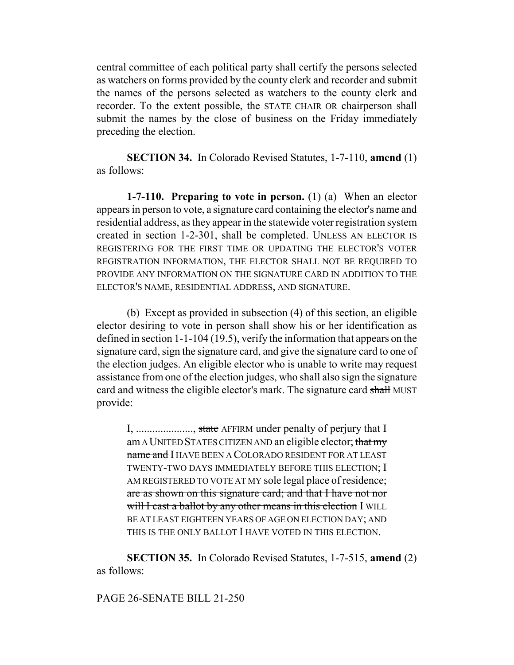central committee of each political party shall certify the persons selected as watchers on forms provided by the county clerk and recorder and submit the names of the persons selected as watchers to the county clerk and recorder. To the extent possible, the STATE CHAIR OR chairperson shall submit the names by the close of business on the Friday immediately preceding the election.

**SECTION 34.** In Colorado Revised Statutes, 1-7-110, **amend** (1) as follows:

**1-7-110. Preparing to vote in person.** (1) (a) When an elector appears in person to vote, a signature card containing the elector's name and residential address, as they appear in the statewide voter registration system created in section 1-2-301, shall be completed. UNLESS AN ELECTOR IS REGISTERING FOR THE FIRST TIME OR UPDATING THE ELECTOR'S VOTER REGISTRATION INFORMATION, THE ELECTOR SHALL NOT BE REQUIRED TO PROVIDE ANY INFORMATION ON THE SIGNATURE CARD IN ADDITION TO THE ELECTOR'S NAME, RESIDENTIAL ADDRESS, AND SIGNATURE.

(b) Except as provided in subsection (4) of this section, an eligible elector desiring to vote in person shall show his or her identification as defined in section 1-1-104 (19.5), verify the information that appears on the signature card, sign the signature card, and give the signature card to one of the election judges. An eligible elector who is unable to write may request assistance from one of the election judges, who shall also sign the signature card and witness the eligible elector's mark. The signature card shall MUST provide:

I, ...................., state AFFIRM under penalty of perjury that I am A UNITED STATES CITIZEN AND an eligible elector; that my name and I HAVE BEEN A COLORADO RESIDENT FOR AT LEAST TWENTY-TWO DAYS IMMEDIATELY BEFORE THIS ELECTION; I AM REGISTERED TO VOTE AT MY sole legal place of residence; are as shown on this signature card; and that I have not nor will I cast a ballot by any other means in this election I WILL BE AT LEAST EIGHTEEN YEARS OF AGE ON ELECTION DAY; AND THIS IS THE ONLY BALLOT I HAVE VOTED IN THIS ELECTION.

**SECTION 35.** In Colorado Revised Statutes, 1-7-515, **amend** (2) as follows:

## PAGE 26-SENATE BILL 21-250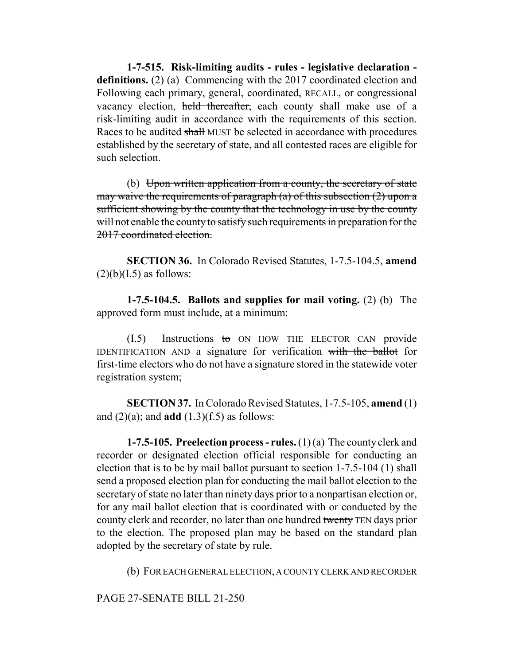**1-7-515. Risk-limiting audits - rules - legislative declaration**  definitions. (2) (a) Commencing with the 2017 coordinated election and Following each primary, general, coordinated, RECALL, or congressional vacancy election, held thereafter, each county shall make use of a risk-limiting audit in accordance with the requirements of this section. Races to be audited shall MUST be selected in accordance with procedures established by the secretary of state, and all contested races are eligible for such selection.

(b) Upon written application from a county, the secretary of state may waive the requirements of paragraph (a) of this subsection (2) upon a sufficient showing by the county that the technology in use by the county will not enable the county to satisfy such requirements in preparation for the 2017 coordinated election.

**SECTION 36.** In Colorado Revised Statutes, 1-7.5-104.5, **amend**  $(2)(b)(I.5)$  as follows:

**1-7.5-104.5. Ballots and supplies for mail voting.** (2) (b) The approved form must include, at a minimum:

 $(1.5)$  Instructions to ON HOW THE ELECTOR CAN provide IDENTIFICATION AND a signature for verification with the ballot for first-time electors who do not have a signature stored in the statewide voter registration system;

**SECTION 37.** In Colorado Revised Statutes, 1-7.5-105, **amend** (1) and  $(2)(a)$ ; and **add**  $(1.3)(f.5)$  as follows:

**1-7.5-105. Preelection process - rules.** (1) (a) The county clerk and recorder or designated election official responsible for conducting an election that is to be by mail ballot pursuant to section 1-7.5-104 (1) shall send a proposed election plan for conducting the mail ballot election to the secretary of state no later than ninety days prior to a nonpartisan election or, for any mail ballot election that is coordinated with or conducted by the county clerk and recorder, no later than one hundred twenty TEN days prior to the election. The proposed plan may be based on the standard plan adopted by the secretary of state by rule.

(b) FOR EACH GENERAL ELECTION, A COUNTY CLERK AND RECORDER

PAGE 27-SENATE BILL 21-250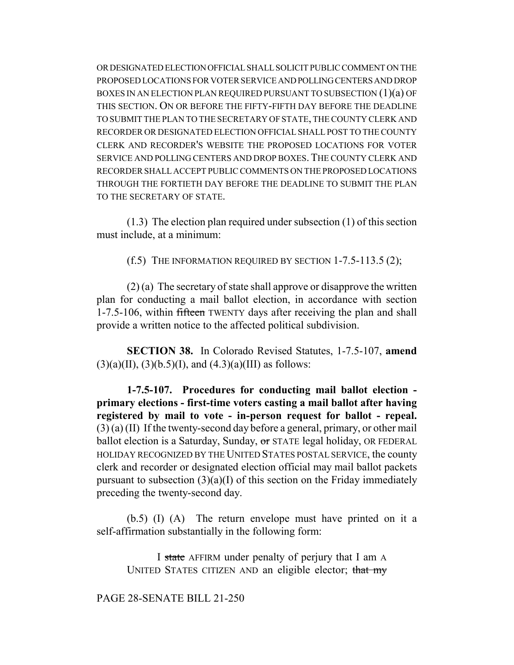OR DESIGNATED ELECTION OFFICIAL SHALL SOLICIT PUBLIC COMMENT ON THE PROPOSED LOCATIONS FOR VOTER SERVICE AND POLLING CENTERS AND DROP BOXES IN AN ELECTION PLAN REQUIRED PURSUANT TO SUBSECTION (1)(a) OF THIS SECTION. ON OR BEFORE THE FIFTY-FIFTH DAY BEFORE THE DEADLINE TO SUBMIT THE PLAN TO THE SECRETARY OF STATE, THE COUNTY CLERK AND RECORDER OR DESIGNATED ELECTION OFFICIAL SHALL POST TO THE COUNTY CLERK AND RECORDER'S WEBSITE THE PROPOSED LOCATIONS FOR VOTER SERVICE AND POLLING CENTERS AND DROP BOXES.THE COUNTY CLERK AND RECORDER SHALL ACCEPT PUBLIC COMMENTS ON THE PROPOSED LOCATIONS THROUGH THE FORTIETH DAY BEFORE THE DEADLINE TO SUBMIT THE PLAN TO THE SECRETARY OF STATE.

(1.3) The election plan required under subsection (1) of this section must include, at a minimum:

(f.5) THE INFORMATION REQUIRED BY SECTION  $1-7.5-113.5(2)$ ;

(2) (a) The secretary of state shall approve or disapprove the written plan for conducting a mail ballot election, in accordance with section 1-7.5-106, within fifteen TWENTY days after receiving the plan and shall provide a written notice to the affected political subdivision.

**SECTION 38.** In Colorado Revised Statutes, 1-7.5-107, **amend**  $(3)(a)(II), (3)(b.5)(I), and (4.3)(a)(III)$  as follows:

**1-7.5-107. Procedures for conducting mail ballot election primary elections - first-time voters casting a mail ballot after having registered by mail to vote - in-person request for ballot - repeal.** (3) (a) (II) If the twenty-second day before a general, primary, or other mail ballot election is a Saturday, Sunday, or STATE legal holiday, OR FEDERAL HOLIDAY RECOGNIZED BY THE UNITED STATES POSTAL SERVICE, the county clerk and recorder or designated election official may mail ballot packets pursuant to subsection  $(3)(a)(I)$  of this section on the Friday immediately preceding the twenty-second day.

(b.5) (I) (A) The return envelope must have printed on it a self-affirmation substantially in the following form:

I state AFFIRM under penalty of perjury that I am A UNITED STATES CITIZEN AND an eligible elector; that my

PAGE 28-SENATE BILL 21-250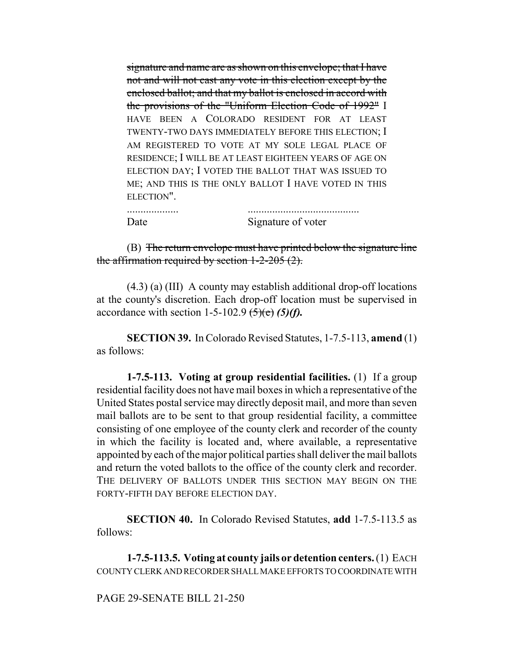signature and name are as shown on this envelope; that I have not and will not cast any vote in this election except by the enclosed ballot; and that my ballot is enclosed in accord with the provisions of the "Uniform Election Code of 1992" I HAVE BEEN A COLORADO RESIDENT FOR AT LEAST TWENTY-TWO DAYS IMMEDIATELY BEFORE THIS ELECTION; I AM REGISTERED TO VOTE AT MY SOLE LEGAL PLACE OF RESIDENCE; I WILL BE AT LEAST EIGHTEEN YEARS OF AGE ON ELECTION DAY; I VOTED THE BALLOT THAT WAS ISSUED TO ME; AND THIS IS THE ONLY BALLOT I HAVE VOTED IN THIS ELECTION".

................... ......................................... Date Signature of voter

(B) The return envelope must have printed below the signature line the affirmation required by section 1-2-205 (2).

(4.3) (a) (III) A county may establish additional drop-off locations at the county's discretion. Each drop-off location must be supervised in accordance with section 1-5-102.9  $\left(5\right)\left(6\right)$  *(5)(f)*.

**SECTION 39.** In Colorado Revised Statutes, 1-7.5-113, **amend** (1) as follows:

**1-7.5-113. Voting at group residential facilities.** (1) If a group residential facility does not have mail boxes in which a representative of the United States postal service may directly deposit mail, and more than seven mail ballots are to be sent to that group residential facility, a committee consisting of one employee of the county clerk and recorder of the county in which the facility is located and, where available, a representative appointed by each of the major political parties shall deliver the mail ballots and return the voted ballots to the office of the county clerk and recorder. THE DELIVERY OF BALLOTS UNDER THIS SECTION MAY BEGIN ON THE FORTY-FIFTH DAY BEFORE ELECTION DAY.

**SECTION 40.** In Colorado Revised Statutes, **add** 1-7.5-113.5 as follows:

**1-7.5-113.5. Voting at county jails or detention centers.** (1) EACH COUNTY CLERK AND RECORDER SHALL MAKE EFFORTS TO COORDINATE WITH

## PAGE 29-SENATE BILL 21-250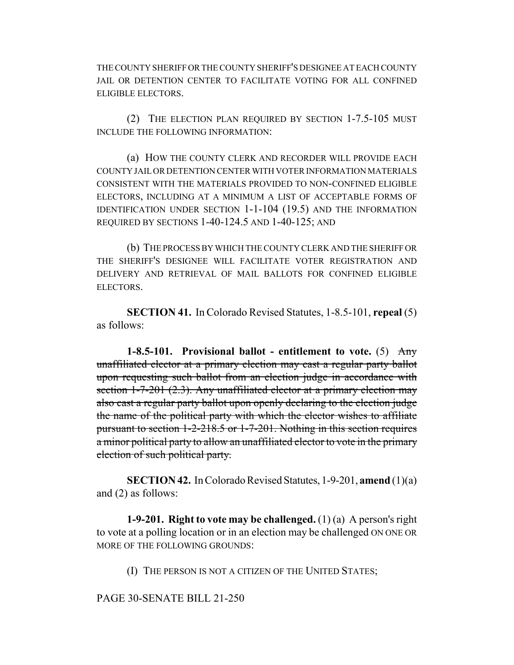THE COUNTY SHERIFF OR THE COUNTY SHERIFF'S DESIGNEE AT EACH COUNTY JAIL OR DETENTION CENTER TO FACILITATE VOTING FOR ALL CONFINED ELIGIBLE ELECTORS.

(2) THE ELECTION PLAN REQUIRED BY SECTION 1-7.5-105 MUST INCLUDE THE FOLLOWING INFORMATION:

(a) HOW THE COUNTY CLERK AND RECORDER WILL PROVIDE EACH COUNTY JAIL OR DETENTION CENTER WITH VOTER INFORMATION MATERIALS CONSISTENT WITH THE MATERIALS PROVIDED TO NON-CONFINED ELIGIBLE ELECTORS, INCLUDING AT A MINIMUM A LIST OF ACCEPTABLE FORMS OF IDENTIFICATION UNDER SECTION 1-1-104 (19.5) AND THE INFORMATION REQUIRED BY SECTIONS 1-40-124.5 AND 1-40-125; AND

(b) THE PROCESS BY WHICH THE COUNTY CLERK AND THE SHERIFF OR THE SHERIFF'S DESIGNEE WILL FACILITATE VOTER REGISTRATION AND DELIVERY AND RETRIEVAL OF MAIL BALLOTS FOR CONFINED ELIGIBLE ELECTORS.

**SECTION 41.** In Colorado Revised Statutes, 1-8.5-101, **repeal** (5) as follows:

**1-8.5-101. Provisional ballot - entitlement to vote.** (5) Any unaffiliated elector at a primary election may cast a regular party ballot upon requesting such ballot from an election judge in accordance with section 1-7-201 (2.3). Any unaffiliated elector at a primary election may also cast a regular party ballot upon openly declaring to the election judge the name of the political party with which the elector wishes to affiliate pursuant to section 1-2-218.5 or 1-7-201. Nothing in this section requires a minor political party to allow an unaffiliated elector to vote in the primary election of such political party.

**SECTION 42.** In Colorado Revised Statutes, 1-9-201, **amend** (1)(a) and (2) as follows:

**1-9-201. Right to vote may be challenged.** (1) (a) A person's right to vote at a polling location or in an election may be challenged ON ONE OR MORE OF THE FOLLOWING GROUNDS:

(I) THE PERSON IS NOT A CITIZEN OF THE UNITED STATES;

PAGE 30-SENATE BILL 21-250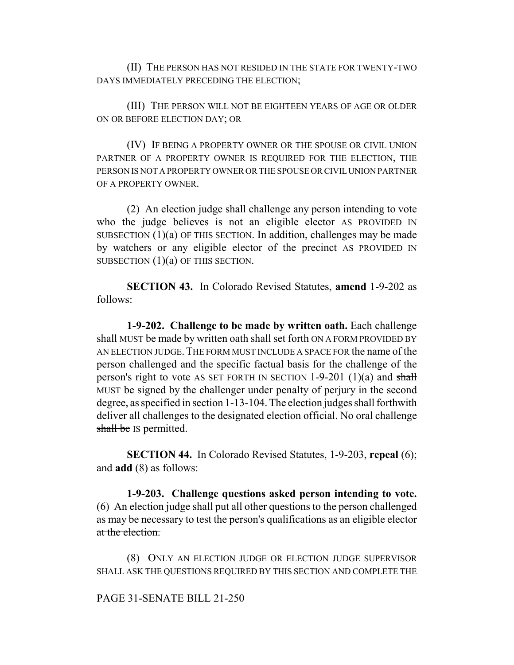(II) THE PERSON HAS NOT RESIDED IN THE STATE FOR TWENTY-TWO DAYS IMMEDIATELY PRECEDING THE ELECTION;

(III) THE PERSON WILL NOT BE EIGHTEEN YEARS OF AGE OR OLDER ON OR BEFORE ELECTION DAY; OR

(IV) IF BEING A PROPERTY OWNER OR THE SPOUSE OR CIVIL UNION PARTNER OF A PROPERTY OWNER IS REQUIRED FOR THE ELECTION, THE PERSON IS NOT A PROPERTY OWNER OR THE SPOUSE OR CIVIL UNION PARTNER OF A PROPERTY OWNER.

(2) An election judge shall challenge any person intending to vote who the judge believes is not an eligible elector AS PROVIDED IN SUBSECTION (1)(a) OF THIS SECTION. In addition, challenges may be made by watchers or any eligible elector of the precinct AS PROVIDED IN SUBSECTION  $(1)(a)$  OF THIS SECTION.

**SECTION 43.** In Colorado Revised Statutes, **amend** 1-9-202 as follows:

**1-9-202. Challenge to be made by written oath.** Each challenge shall MUST be made by written oath shall set forth ON A FORM PROVIDED BY AN ELECTION JUDGE. THE FORM MUST INCLUDE A SPACE FOR the name of the person challenged and the specific factual basis for the challenge of the person's right to vote AS SET FORTH IN SECTION 1-9-201 (1)(a) and shall MUST be signed by the challenger under penalty of perjury in the second degree, as specified in section 1-13-104. The election judges shall forthwith deliver all challenges to the designated election official. No oral challenge shall be IS permitted.

**SECTION 44.** In Colorado Revised Statutes, 1-9-203, **repeal** (6); and **add** (8) as follows:

**1-9-203. Challenge questions asked person intending to vote.** (6) An election judge shall put all other questions to the person challenged as may be necessary to test the person's qualifications as an eligible elector at the election.

(8) ONLY AN ELECTION JUDGE OR ELECTION JUDGE SUPERVISOR SHALL ASK THE QUESTIONS REQUIRED BY THIS SECTION AND COMPLETE THE

#### PAGE 31-SENATE BILL 21-250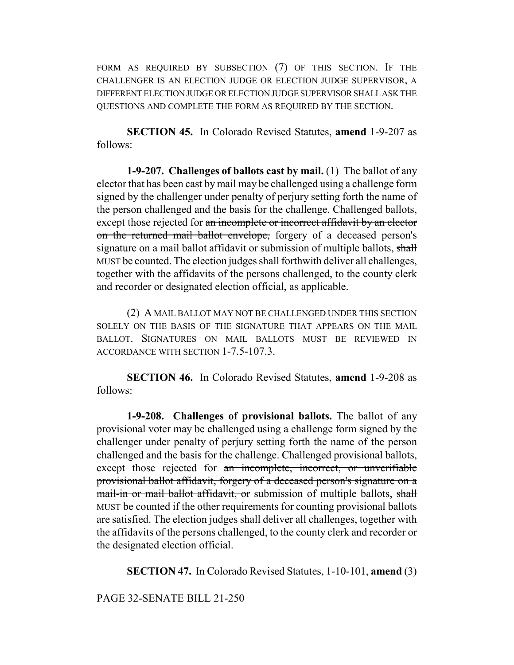FORM AS REQUIRED BY SUBSECTION (7) OF THIS SECTION. IF THE CHALLENGER IS AN ELECTION JUDGE OR ELECTION JUDGE SUPERVISOR, A DIFFERENT ELECTION JUDGE OR ELECTION JUDGE SUPERVISOR SHALL ASK THE QUESTIONS AND COMPLETE THE FORM AS REQUIRED BY THE SECTION.

**SECTION 45.** In Colorado Revised Statutes, **amend** 1-9-207 as follows:

**1-9-207. Challenges of ballots cast by mail.** (1) The ballot of any elector that has been cast by mail may be challenged using a challenge form signed by the challenger under penalty of perjury setting forth the name of the person challenged and the basis for the challenge. Challenged ballots, except those rejected for an incomplete or incorrect affidavit by an elector on the returned mail ballot envelope, forgery of a deceased person's signature on a mail ballot affidavit or submission of multiple ballots, shall MUST be counted. The election judges shall forthwith deliver all challenges, together with the affidavits of the persons challenged, to the county clerk and recorder or designated election official, as applicable.

(2) A MAIL BALLOT MAY NOT BE CHALLENGED UNDER THIS SECTION SOLELY ON THE BASIS OF THE SIGNATURE THAT APPEARS ON THE MAIL BALLOT. SIGNATURES ON MAIL BALLOTS MUST BE REVIEWED IN ACCORDANCE WITH SECTION 1-7.5-107.3.

**SECTION 46.** In Colorado Revised Statutes, **amend** 1-9-208 as follows:

**1-9-208. Challenges of provisional ballots.** The ballot of any provisional voter may be challenged using a challenge form signed by the challenger under penalty of perjury setting forth the name of the person challenged and the basis for the challenge. Challenged provisional ballots, except those rejected for an incomplete, incorrect, or unverifiable provisional ballot affidavit, forgery of a deceased person's signature on a mail-in or mail ballot affidavit, or submission of multiple ballots, shall MUST be counted if the other requirements for counting provisional ballots are satisfied. The election judges shall deliver all challenges, together with the affidavits of the persons challenged, to the county clerk and recorder or the designated election official.

**SECTION 47.** In Colorado Revised Statutes, 1-10-101, **amend** (3)

PAGE 32-SENATE BILL 21-250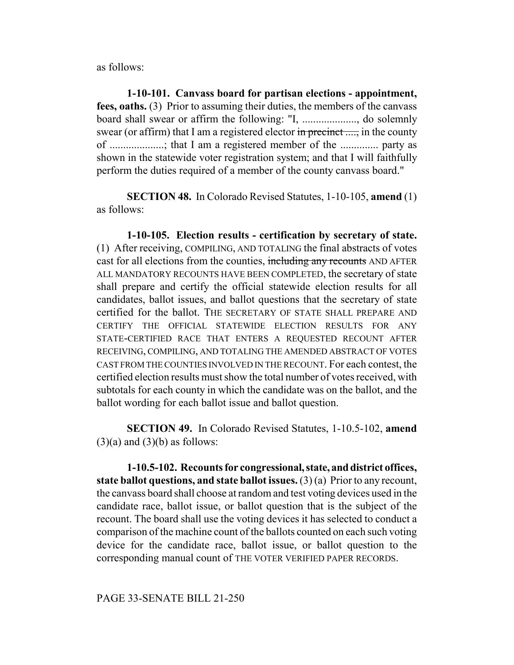as follows:

**1-10-101. Canvass board for partisan elections - appointment, fees, oaths.** (3) Prior to assuming their duties, the members of the canvass board shall swear or affirm the following: "I, ...................., do solemnly swear (or affirm) that I am a registered elector  $\frac{1}{n}$  precinct ...., in the county of ....................; that I am a registered member of the .............. party as shown in the statewide voter registration system; and that I will faithfully perform the duties required of a member of the county canvass board."

**SECTION 48.** In Colorado Revised Statutes, 1-10-105, **amend** (1) as follows:

**1-10-105. Election results - certification by secretary of state.** (1) After receiving, COMPILING, AND TOTALING the final abstracts of votes cast for all elections from the counties, including any recounts AND AFTER ALL MANDATORY RECOUNTS HAVE BEEN COMPLETED, the secretary of state shall prepare and certify the official statewide election results for all candidates, ballot issues, and ballot questions that the secretary of state certified for the ballot. THE SECRETARY OF STATE SHALL PREPARE AND CERTIFY THE OFFICIAL STATEWIDE ELECTION RESULTS FOR ANY STATE-CERTIFIED RACE THAT ENTERS A REQUESTED RECOUNT AFTER RECEIVING, COMPILING, AND TOTALING THE AMENDED ABSTRACT OF VOTES CAST FROM THE COUNTIES INVOLVED IN THE RECOUNT. For each contest, the certified election results must show the total number of votes received, with subtotals for each county in which the candidate was on the ballot, and the ballot wording for each ballot issue and ballot question.

**SECTION 49.** In Colorado Revised Statutes, 1-10.5-102, **amend**  $(3)(a)$  and  $(3)(b)$  as follows:

**1-10.5-102. Recounts for congressional, state, and district offices, state ballot questions, and state ballot issues.** (3) (a) Prior to any recount, the canvass board shall choose at random and test voting devices used in the candidate race, ballot issue, or ballot question that is the subject of the recount. The board shall use the voting devices it has selected to conduct a comparison of the machine count of the ballots counted on each such voting device for the candidate race, ballot issue, or ballot question to the corresponding manual count of THE VOTER VERIFIED PAPER RECORDS.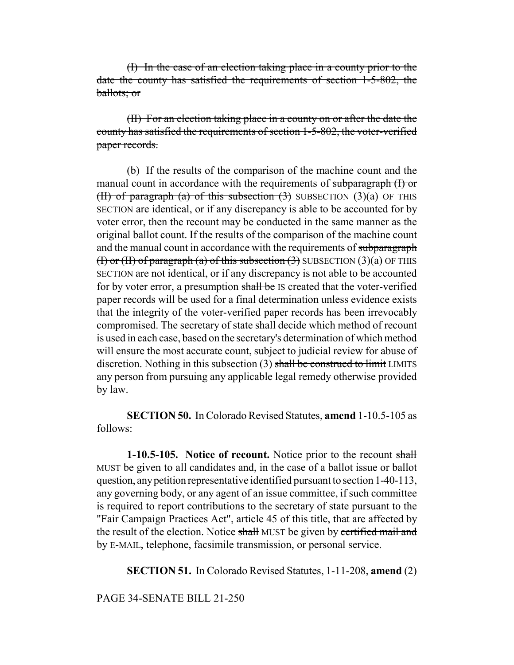(I) In the case of an election taking place in a county prior to the date the county has satisfied the requirements of section 1-5-802, the ballots; or

(II) For an election taking place in a county on or after the date the county has satisfied the requirements of section 1-5-802, the voter-verified paper records.

(b) If the results of the comparison of the machine count and the manual count in accordance with the requirements of subparagraph (I) or (II) of paragraph (a) of this subsection  $(3)$  SUBSECTION  $(3)(a)$  OF THIS SECTION are identical, or if any discrepancy is able to be accounted for by voter error, then the recount may be conducted in the same manner as the original ballot count. If the results of the comparison of the machine count and the manual count in accordance with the requirements of subparagraph (I) or (II) of paragraph (a) of this subsection  $(3)$  SUBSECTION  $(3)(a)$  OF THIS SECTION are not identical, or if any discrepancy is not able to be accounted for by voter error, a presumption shall be IS created that the voter-verified paper records will be used for a final determination unless evidence exists that the integrity of the voter-verified paper records has been irrevocably compromised. The secretary of state shall decide which method of recount is used in each case, based on the secretary's determination of which method will ensure the most accurate count, subject to judicial review for abuse of discretion. Nothing in this subsection (3) shall be construed to limit LIMITS any person from pursuing any applicable legal remedy otherwise provided by law.

**SECTION 50.** In Colorado Revised Statutes, **amend** 1-10.5-105 as follows:

**1-10.5-105.** Notice of recount. Notice prior to the recount shall MUST be given to all candidates and, in the case of a ballot issue or ballot question, any petition representative identified pursuant to section 1-40-113, any governing body, or any agent of an issue committee, if such committee is required to report contributions to the secretary of state pursuant to the "Fair Campaign Practices Act", article 45 of this title, that are affected by the result of the election. Notice shall MUST be given by certified mail and by E-MAIL, telephone, facsimile transmission, or personal service.

**SECTION 51.** In Colorado Revised Statutes, 1-11-208, **amend** (2)

# PAGE 34-SENATE BILL 21-250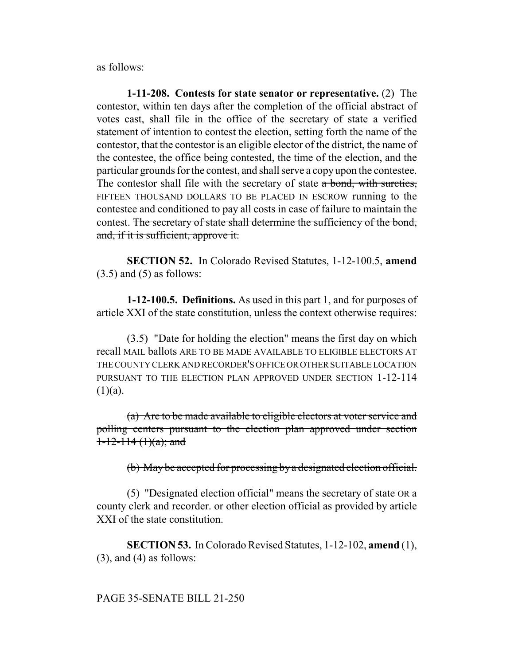as follows:

**1-11-208. Contests for state senator or representative.** (2) The contestor, within ten days after the completion of the official abstract of votes cast, shall file in the office of the secretary of state a verified statement of intention to contest the election, setting forth the name of the contestor, that the contestor is an eligible elector of the district, the name of the contestee, the office being contested, the time of the election, and the particular grounds for the contest, and shall serve a copy upon the contestee. The contestor shall file with the secretary of state a bond, with sureties, FIFTEEN THOUSAND DOLLARS TO BE PLACED IN ESCROW running to the contestee and conditioned to pay all costs in case of failure to maintain the contest. The secretary of state shall determine the sufficiency of the bond, and, if it is sufficient, approve it.

**SECTION 52.** In Colorado Revised Statutes, 1-12-100.5, **amend**  $(3.5)$  and  $(5)$  as follows:

**1-12-100.5. Definitions.** As used in this part 1, and for purposes of article XXI of the state constitution, unless the context otherwise requires:

(3.5) "Date for holding the election" means the first day on which recall MAIL ballots ARE TO BE MADE AVAILABLE TO ELIGIBLE ELECTORS AT THE COUNTY CLERK AND RECORDER'S OFFICE OR OTHER SUITABLE LOCATION PURSUANT TO THE ELECTION PLAN APPROVED UNDER SECTION 1-12-114  $(1)(a)$ .

(a) Are to be made available to eligible electors at voter service and polling centers pursuant to the election plan approved under section  $1-12-114(1)(a)$ ; and

(b) May be accepted for processing by a designated election official.

(5) "Designated election official" means the secretary of state OR a county clerk and recorder. or other election official as provided by article XXI of the state constitution.

**SECTION 53.** In Colorado Revised Statutes, 1-12-102, **amend** (1),  $(3)$ , and  $(4)$  as follows:

## PAGE 35-SENATE BILL 21-250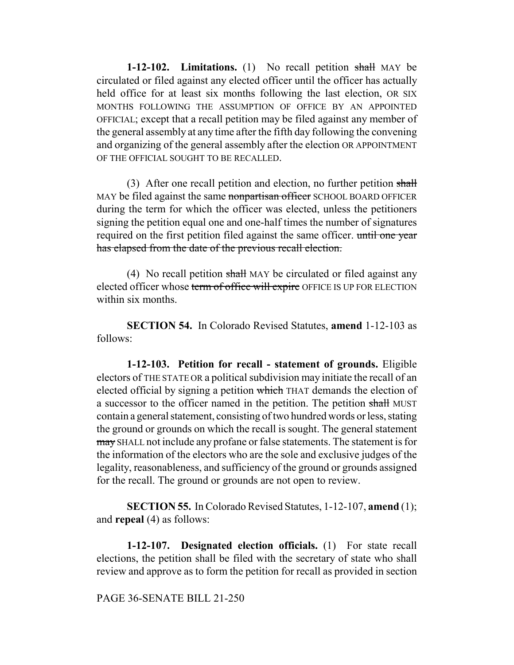**1-12-102.** Limitations. (1) No recall petition shall MAY be circulated or filed against any elected officer until the officer has actually held office for at least six months following the last election, OR SIX MONTHS FOLLOWING THE ASSUMPTION OF OFFICE BY AN APPOINTED OFFICIAL; except that a recall petition may be filed against any member of the general assembly at any time after the fifth day following the convening and organizing of the general assembly after the election OR APPOINTMENT OF THE OFFICIAL SOUGHT TO BE RECALLED.

(3) After one recall petition and election, no further petition  $shall$ MAY be filed against the same nonpartisan officer SCHOOL BOARD OFFICER during the term for which the officer was elected, unless the petitioners signing the petition equal one and one-half times the number of signatures required on the first petition filed against the same officer. until one year has elapsed from the date of the previous recall election.

(4) No recall petition shall MAY be circulated or filed against any elected officer whose term of office will expire OFFICE IS UP FOR ELECTION within six months.

**SECTION 54.** In Colorado Revised Statutes, **amend** 1-12-103 as follows:

**1-12-103. Petition for recall - statement of grounds.** Eligible electors of THE STATE OR a political subdivision may initiate the recall of an elected official by signing a petition which THAT demands the election of a successor to the officer named in the petition. The petition shall MUST contain a general statement, consisting of two hundred words or less, stating the ground or grounds on which the recall is sought. The general statement may SHALL not include any profane or false statements. The statement is for the information of the electors who are the sole and exclusive judges of the legality, reasonableness, and sufficiency of the ground or grounds assigned for the recall. The ground or grounds are not open to review.

**SECTION 55.** In Colorado Revised Statutes, 1-12-107, **amend** (1); and **repeal** (4) as follows:

**1-12-107. Designated election officials.** (1) For state recall elections, the petition shall be filed with the secretary of state who shall review and approve as to form the petition for recall as provided in section

PAGE 36-SENATE BILL 21-250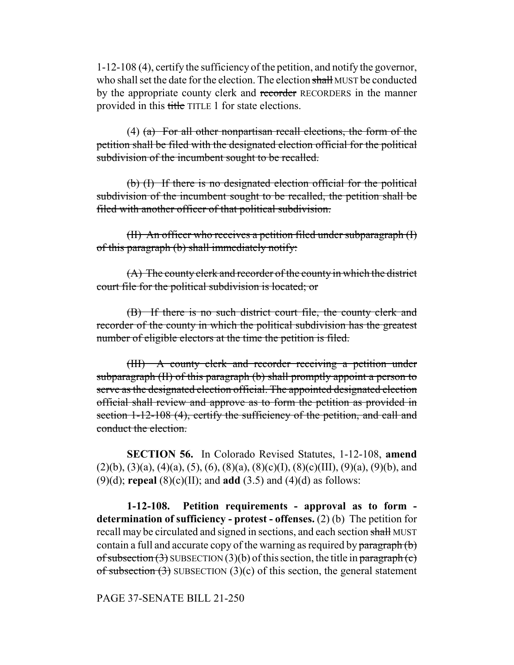1-12-108 (4), certify the sufficiency of the petition, and notify the governor, who shall set the date for the election. The election shall MUST be conducted by the appropriate county clerk and recorder RECORDERS in the manner provided in this title TITLE 1 for state elections.

(4)  $(a)$  For all other nonpartisan recall elections, the form of the petition shall be filed with the designated election official for the political subdivision of the incumbent sought to be recalled.

(b) (I) If there is no designated election official for the political subdivision of the incumbent sought to be recalled, the petition shall be filed with another officer of that political subdivision.

(II) An officer who receives a petition filed under subparagraph (I) of this paragraph (b) shall immediately notify:

(A) The county clerk and recorder of the county in which the district court file for the political subdivision is located; or

(B) If there is no such district court file, the county clerk and recorder of the county in which the political subdivision has the greatest number of eligible electors at the time the petition is filed.

(III) A county clerk and recorder receiving a petition under subparagraph (II) of this paragraph (b) shall promptly appoint a person to serve as the designated election official. The appointed designated election official shall review and approve as to form the petition as provided in section 1-12-108 (4), certify the sufficiency of the petition, and call and conduct the election.

**SECTION 56.** In Colorado Revised Statutes, 1-12-108, **amend**  $(2)(b)$ ,  $(3)(a)$ ,  $(4)(a)$ ,  $(5)$ ,  $(6)$ ,  $(8)(a)$ ,  $(8)(c)(I)$ ,  $(8)(c)(III)$ ,  $(9)(a)$ ,  $(9)(b)$ , and (9)(d); **repeal** (8)(c)(II); and **add** (3.5) and (4)(d) as follows:

**1-12-108. Petition requirements - approval as to form determination of sufficiency - protest - offenses.** (2) (b) The petition for recall may be circulated and signed in sections, and each section shall MUST contain a full and accurate copy of the warning as required by  $\frac{\partial^2 f}{\partial x^2}$ of subsection  $(3)$  SUBSECTION  $(3)(b)$  of this section, the title in paragraph  $(c)$ of subsection  $(3)$  SUBSECTION  $(3)(c)$  of this section, the general statement

PAGE 37-SENATE BILL 21-250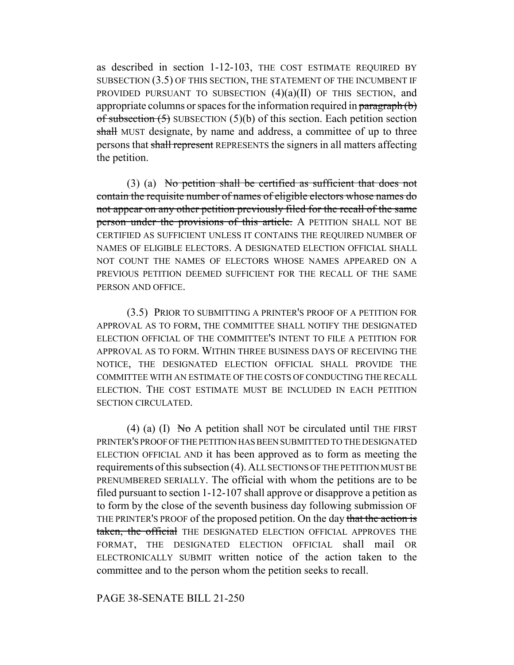as described in section 1-12-103, THE COST ESTIMATE REQUIRED BY SUBSECTION (3.5) OF THIS SECTION, THE STATEMENT OF THE INCUMBENT IF PROVIDED PURSUANT TO SUBSECTION  $(4)(a)(II)$  OF THIS SECTION, and appropriate columns or spaces for the information required in paragraph (b) of subsection  $(5)$  SUBSECTION  $(5)(b)$  of this section. Each petition section shall MUST designate, by name and address, a committee of up to three persons that shall represent REPRESENTS the signers in all matters affecting the petition.

(3) (a) No petition shall be certified as sufficient that does not contain the requisite number of names of eligible electors whose names do not appear on any other petition previously filed for the recall of the same person under the provisions of this article. A PETITION SHALL NOT BE CERTIFIED AS SUFFICIENT UNLESS IT CONTAINS THE REQUIRED NUMBER OF NAMES OF ELIGIBLE ELECTORS. A DESIGNATED ELECTION OFFICIAL SHALL NOT COUNT THE NAMES OF ELECTORS WHOSE NAMES APPEARED ON A PREVIOUS PETITION DEEMED SUFFICIENT FOR THE RECALL OF THE SAME PERSON AND OFFICE.

(3.5) PRIOR TO SUBMITTING A PRINTER'S PROOF OF A PETITION FOR APPROVAL AS TO FORM, THE COMMITTEE SHALL NOTIFY THE DESIGNATED ELECTION OFFICIAL OF THE COMMITTEE'S INTENT TO FILE A PETITION FOR APPROVAL AS TO FORM. WITHIN THREE BUSINESS DAYS OF RECEIVING THE NOTICE, THE DESIGNATED ELECTION OFFICIAL SHALL PROVIDE THE COMMITTEE WITH AN ESTIMATE OF THE COSTS OF CONDUCTING THE RECALL ELECTION. THE COST ESTIMATE MUST BE INCLUDED IN EACH PETITION SECTION CIRCULATED.

(4) (a) (I) No A petition shall NOT be circulated until THE FIRST PRINTER'S PROOF OF THE PETITION HAS BEEN SUBMITTED TO THE DESIGNATED ELECTION OFFICIAL AND it has been approved as to form as meeting the requirements of this subsection (4). ALL SECTIONS OF THE PETITION MUST BE PRENUMBERED SERIALLY. The official with whom the petitions are to be filed pursuant to section 1-12-107 shall approve or disapprove a petition as to form by the close of the seventh business day following submission OF THE PRINTER'S PROOF of the proposed petition. On the day that the action is taken, the official THE DESIGNATED ELECTION OFFICIAL APPROVES THE FORMAT, THE DESIGNATED ELECTION OFFICIAL shall mail OR ELECTRONICALLY SUBMIT written notice of the action taken to the committee and to the person whom the petition seeks to recall.

# PAGE 38-SENATE BILL 21-250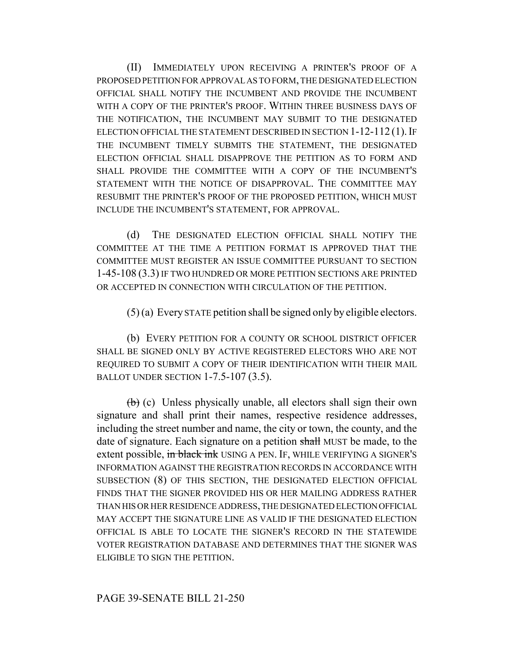(II) IMMEDIATELY UPON RECEIVING A PRINTER'S PROOF OF A PROPOSED PETITION FOR APPROVAL AS TO FORM, THE DESIGNATED ELECTION OFFICIAL SHALL NOTIFY THE INCUMBENT AND PROVIDE THE INCUMBENT WITH A COPY OF THE PRINTER'S PROOF. WITHIN THREE BUSINESS DAYS OF THE NOTIFICATION, THE INCUMBENT MAY SUBMIT TO THE DESIGNATED ELECTION OFFICIAL THE STATEMENT DESCRIBED IN SECTION  $1-12-112(1)$ . If THE INCUMBENT TIMELY SUBMITS THE STATEMENT, THE DESIGNATED ELECTION OFFICIAL SHALL DISAPPROVE THE PETITION AS TO FORM AND SHALL PROVIDE THE COMMITTEE WITH A COPY OF THE INCUMBENT'S STATEMENT WITH THE NOTICE OF DISAPPROVAL. THE COMMITTEE MAY RESUBMIT THE PRINTER'S PROOF OF THE PROPOSED PETITION, WHICH MUST INCLUDE THE INCUMBENT'S STATEMENT, FOR APPROVAL.

(d) THE DESIGNATED ELECTION OFFICIAL SHALL NOTIFY THE COMMITTEE AT THE TIME A PETITION FORMAT IS APPROVED THAT THE COMMITTEE MUST REGISTER AN ISSUE COMMITTEE PURSUANT TO SECTION 1-45-108 (3.3) IF TWO HUNDRED OR MORE PETITION SECTIONS ARE PRINTED OR ACCEPTED IN CONNECTION WITH CIRCULATION OF THE PETITION.

(5) (a) Every STATE petition shall be signed only by eligible electors.

(b) EVERY PETITION FOR A COUNTY OR SCHOOL DISTRICT OFFICER SHALL BE SIGNED ONLY BY ACTIVE REGISTERED ELECTORS WHO ARE NOT REQUIRED TO SUBMIT A COPY OF THEIR IDENTIFICATION WITH THEIR MAIL BALLOT UNDER SECTION 1-7.5-107 (3.5).

(b) (c) Unless physically unable, all electors shall sign their own signature and shall print their names, respective residence addresses, including the street number and name, the city or town, the county, and the date of signature. Each signature on a petition shall MUST be made, to the extent possible, in black ink USING A PEN. IF, WHILE VERIFYING A SIGNER'S INFORMATION AGAINST THE REGISTRATION RECORDS IN ACCORDANCE WITH SUBSECTION (8) OF THIS SECTION, THE DESIGNATED ELECTION OFFICIAL FINDS THAT THE SIGNER PROVIDED HIS OR HER MAILING ADDRESS RATHER THAN HIS OR HER RESIDENCE ADDRESS, THE DESIGNATED ELECTION OFFICIAL MAY ACCEPT THE SIGNATURE LINE AS VALID IF THE DESIGNATED ELECTION OFFICIAL IS ABLE TO LOCATE THE SIGNER'S RECORD IN THE STATEWIDE VOTER REGISTRATION DATABASE AND DETERMINES THAT THE SIGNER WAS ELIGIBLE TO SIGN THE PETITION.

# PAGE 39-SENATE BILL 21-250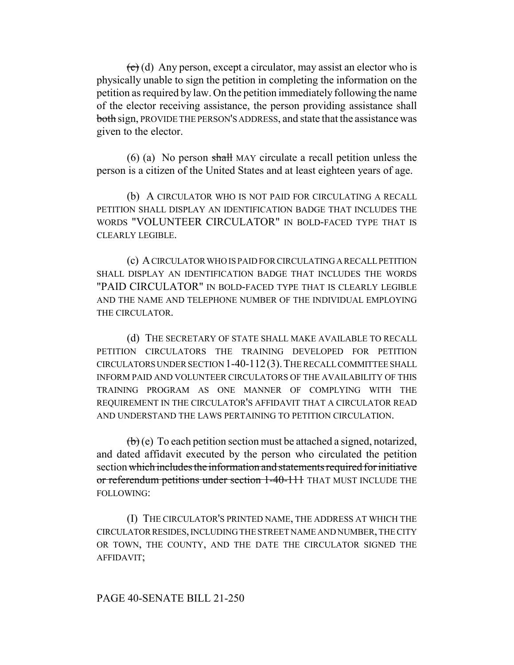$\left( \frac{\partial}{\partial x} \right)$  (d) Any person, except a circulator, may assist an elector who is physically unable to sign the petition in completing the information on the petition as required by law. On the petition immediately following the name of the elector receiving assistance, the person providing assistance shall both sign, PROVIDE THE PERSON'S ADDRESS, and state that the assistance was given to the elector.

 $(6)$  (a) No person shall MAY circulate a recall petition unless the person is a citizen of the United States and at least eighteen years of age.

(b) A CIRCULATOR WHO IS NOT PAID FOR CIRCULATING A RECALL PETITION SHALL DISPLAY AN IDENTIFICATION BADGE THAT INCLUDES THE WORDS "VOLUNTEER CIRCULATOR" IN BOLD-FACED TYPE THAT IS CLEARLY LEGIBLE.

(c) A CIRCULATOR WHO IS PAID FOR CIRCULATING A RECALL PETITION SHALL DISPLAY AN IDENTIFICATION BADGE THAT INCLUDES THE WORDS "PAID CIRCULATOR" IN BOLD-FACED TYPE THAT IS CLEARLY LEGIBLE AND THE NAME AND TELEPHONE NUMBER OF THE INDIVIDUAL EMPLOYING THE CIRCULATOR.

(d) THE SECRETARY OF STATE SHALL MAKE AVAILABLE TO RECALL PETITION CIRCULATORS THE TRAINING DEVELOPED FOR PETITION CIRCULATORS UNDER SECTION 1-40-112(3).THE RECALL COMMITTEE SHALL INFORM PAID AND VOLUNTEER CIRCULATORS OF THE AVAILABILITY OF THIS TRAINING PROGRAM AS ONE MANNER OF COMPLYING WITH THE REQUIREMENT IN THE CIRCULATOR'S AFFIDAVIT THAT A CIRCULATOR READ AND UNDERSTAND THE LAWS PERTAINING TO PETITION CIRCULATION.

 $\left(\mathbf{b}\right)$  (e) To each petition section must be attached a signed, notarized, and dated affidavit executed by the person who circulated the petition section which includes the information and statements required for initiative or referendum petitions under section 1-40-111 THAT MUST INCLUDE THE FOLLOWING:

(I) THE CIRCULATOR'S PRINTED NAME, THE ADDRESS AT WHICH THE CIRCULATOR RESIDES, INCLUDING THE STREET NAME AND NUMBER, THE CITY OR TOWN, THE COUNTY, AND THE DATE THE CIRCULATOR SIGNED THE AFFIDAVIT;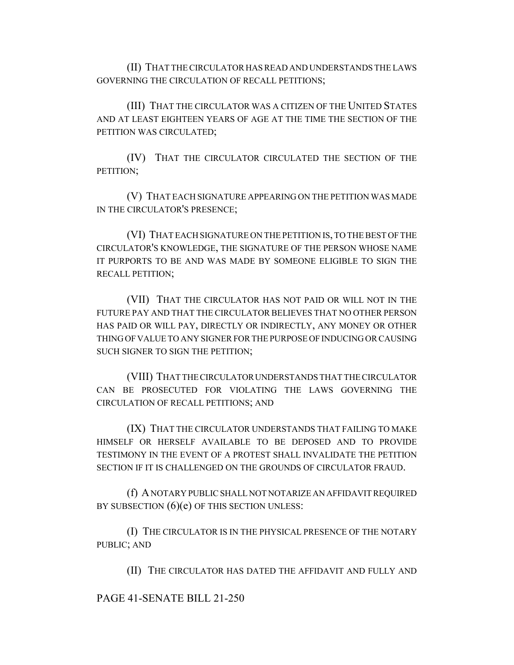(II) THAT THE CIRCULATOR HAS READ AND UNDERSTANDS THE LAWS GOVERNING THE CIRCULATION OF RECALL PETITIONS;

(III) THAT THE CIRCULATOR WAS A CITIZEN OF THE UNITED STATES AND AT LEAST EIGHTEEN YEARS OF AGE AT THE TIME THE SECTION OF THE PETITION WAS CIRCULATED;

(IV) THAT THE CIRCULATOR CIRCULATED THE SECTION OF THE PETITION;

(V) THAT EACH SIGNATURE APPEARING ON THE PETITION WAS MADE IN THE CIRCULATOR'S PRESENCE;

(VI) THAT EACH SIGNATURE ON THE PETITION IS, TO THE BEST OF THE CIRCULATOR'S KNOWLEDGE, THE SIGNATURE OF THE PERSON WHOSE NAME IT PURPORTS TO BE AND WAS MADE BY SOMEONE ELIGIBLE TO SIGN THE RECALL PETITION;

(VII) THAT THE CIRCULATOR HAS NOT PAID OR WILL NOT IN THE FUTURE PAY AND THAT THE CIRCULATOR BELIEVES THAT NO OTHER PERSON HAS PAID OR WILL PAY, DIRECTLY OR INDIRECTLY, ANY MONEY OR OTHER THING OF VALUE TO ANY SIGNER FOR THE PURPOSE OF INDUCING OR CAUSING SUCH SIGNER TO SIGN THE PETITION;

(VIII) THAT THE CIRCULATOR UNDERSTANDS THAT THE CIRCULATOR CAN BE PROSECUTED FOR VIOLATING THE LAWS GOVERNING THE CIRCULATION OF RECALL PETITIONS; AND

(IX) THAT THE CIRCULATOR UNDERSTANDS THAT FAILING TO MAKE HIMSELF OR HERSELF AVAILABLE TO BE DEPOSED AND TO PROVIDE TESTIMONY IN THE EVENT OF A PROTEST SHALL INVALIDATE THE PETITION SECTION IF IT IS CHALLENGED ON THE GROUNDS OF CIRCULATOR FRAUD.

(f) A NOTARY PUBLIC SHALL NOT NOTARIZE AN AFFIDAVIT REQUIRED BY SUBSECTION  $(6)(e)$  OF THIS SECTION UNLESS:

(I) THE CIRCULATOR IS IN THE PHYSICAL PRESENCE OF THE NOTARY PUBLIC; AND

(II) THE CIRCULATOR HAS DATED THE AFFIDAVIT AND FULLY AND

PAGE 41-SENATE BILL 21-250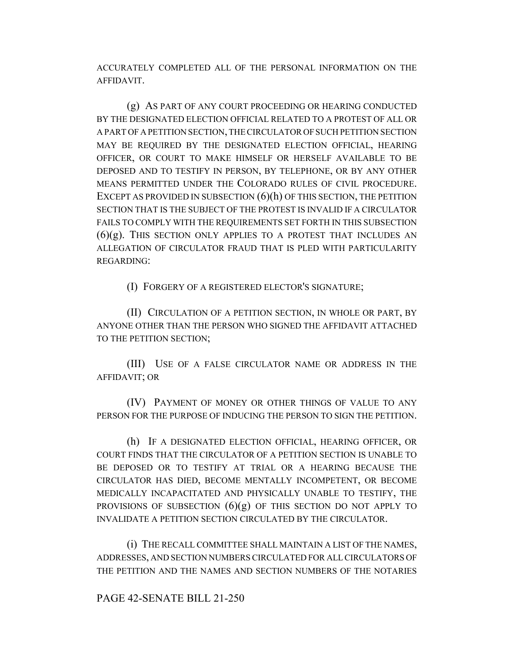ACCURATELY COMPLETED ALL OF THE PERSONAL INFORMATION ON THE AFFIDAVIT.

(g) AS PART OF ANY COURT PROCEEDING OR HEARING CONDUCTED BY THE DESIGNATED ELECTION OFFICIAL RELATED TO A PROTEST OF ALL OR A PART OF A PETITION SECTION, THE CIRCULATOR OF SUCH PETITION SECTION MAY BE REQUIRED BY THE DESIGNATED ELECTION OFFICIAL, HEARING OFFICER, OR COURT TO MAKE HIMSELF OR HERSELF AVAILABLE TO BE DEPOSED AND TO TESTIFY IN PERSON, BY TELEPHONE, OR BY ANY OTHER MEANS PERMITTED UNDER THE COLORADO RULES OF CIVIL PROCEDURE. EXCEPT AS PROVIDED IN SUBSECTION  $(6)(h)$  OF THIS SECTION, THE PETITION SECTION THAT IS THE SUBJECT OF THE PROTEST IS INVALID IF A CIRCULATOR FAILS TO COMPLY WITH THE REQUIREMENTS SET FORTH IN THIS SUBSECTION  $(6)(g)$ . This section only applies to a protest that includes an ALLEGATION OF CIRCULATOR FRAUD THAT IS PLED WITH PARTICULARITY REGARDING:

(I) FORGERY OF A REGISTERED ELECTOR'S SIGNATURE;

(II) CIRCULATION OF A PETITION SECTION, IN WHOLE OR PART, BY ANYONE OTHER THAN THE PERSON WHO SIGNED THE AFFIDAVIT ATTACHED TO THE PETITION SECTION;

(III) USE OF A FALSE CIRCULATOR NAME OR ADDRESS IN THE AFFIDAVIT; OR

(IV) PAYMENT OF MONEY OR OTHER THINGS OF VALUE TO ANY PERSON FOR THE PURPOSE OF INDUCING THE PERSON TO SIGN THE PETITION.

(h) IF A DESIGNATED ELECTION OFFICIAL, HEARING OFFICER, OR COURT FINDS THAT THE CIRCULATOR OF A PETITION SECTION IS UNABLE TO BE DEPOSED OR TO TESTIFY AT TRIAL OR A HEARING BECAUSE THE CIRCULATOR HAS DIED, BECOME MENTALLY INCOMPETENT, OR BECOME MEDICALLY INCAPACITATED AND PHYSICALLY UNABLE TO TESTIFY, THE PROVISIONS OF SUBSECTION  $(6)(g)$  OF THIS SECTION DO NOT APPLY TO INVALIDATE A PETITION SECTION CIRCULATED BY THE CIRCULATOR.

(i) THE RECALL COMMITTEE SHALL MAINTAIN A LIST OF THE NAMES, ADDRESSES, AND SECTION NUMBERS CIRCULATED FOR ALL CIRCULATORS OF THE PETITION AND THE NAMES AND SECTION NUMBERS OF THE NOTARIES

# PAGE 42-SENATE BILL 21-250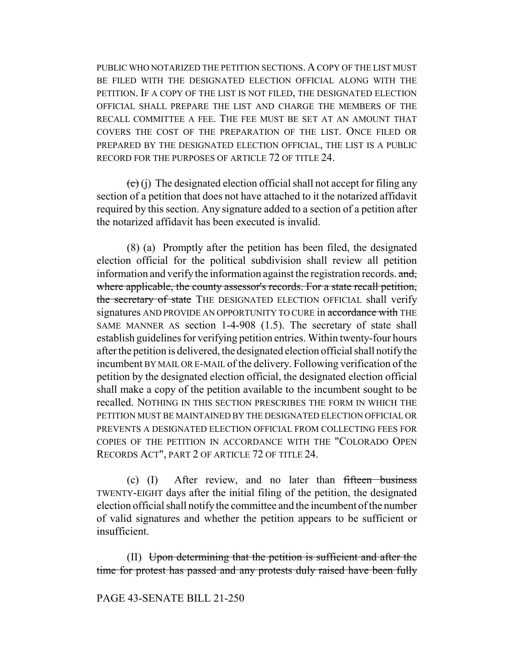PUBLIC WHO NOTARIZED THE PETITION SECTIONS. A COPY OF THE LIST MUST BE FILED WITH THE DESIGNATED ELECTION OFFICIAL ALONG WITH THE PETITION. IF A COPY OF THE LIST IS NOT FILED, THE DESIGNATED ELECTION OFFICIAL SHALL PREPARE THE LIST AND CHARGE THE MEMBERS OF THE RECALL COMMITTEE A FEE. THE FEE MUST BE SET AT AN AMOUNT THAT COVERS THE COST OF THE PREPARATION OF THE LIST. ONCE FILED OR PREPARED BY THE DESIGNATED ELECTION OFFICIAL, THE LIST IS A PUBLIC RECORD FOR THE PURPOSES OF ARTICLE 72 OF TITLE 24.

 $\left(\overline{c}\right)$  (j) The designated election official shall not accept for filing any section of a petition that does not have attached to it the notarized affidavit required by this section. Any signature added to a section of a petition after the notarized affidavit has been executed is invalid.

(8) (a) Promptly after the petition has been filed, the designated election official for the political subdivision shall review all petition information and verify the information against the registration records. and, where applicable, the county assessor's records. For a state recall petition, the secretary of state THE DESIGNATED ELECTION OFFICIAL shall verify signatures AND PROVIDE AN OPPORTUNITY TO CURE in accordance with THE SAME MANNER AS section 1-4-908 (1.5). The secretary of state shall establish guidelines for verifying petition entries. Within twenty-four hours after the petition is delivered, the designated election official shall notify the incumbent BY MAIL OR E-MAIL of the delivery. Following verification of the petition by the designated election official, the designated election official shall make a copy of the petition available to the incumbent sought to be recalled. NOTHING IN THIS SECTION PRESCRIBES THE FORM IN WHICH THE PETITION MUST BE MAINTAINED BY THE DESIGNATED ELECTION OFFICIAL OR PREVENTS A DESIGNATED ELECTION OFFICIAL FROM COLLECTING FEES FOR COPIES OF THE PETITION IN ACCORDANCE WITH THE "COLORADO OPEN RECORDS ACT", PART 2 OF ARTICLE 72 OF TITLE 24.

 $(c)$  (I) After review, and no later than fifteen business TWENTY-EIGHT days after the initial filing of the petition, the designated election official shall notify the committee and the incumbent of the number of valid signatures and whether the petition appears to be sufficient or insufficient.

(II) Upon determining that the petition is sufficient and after the time for protest has passed and any protests duly raised have been fully

PAGE 43-SENATE BILL 21-250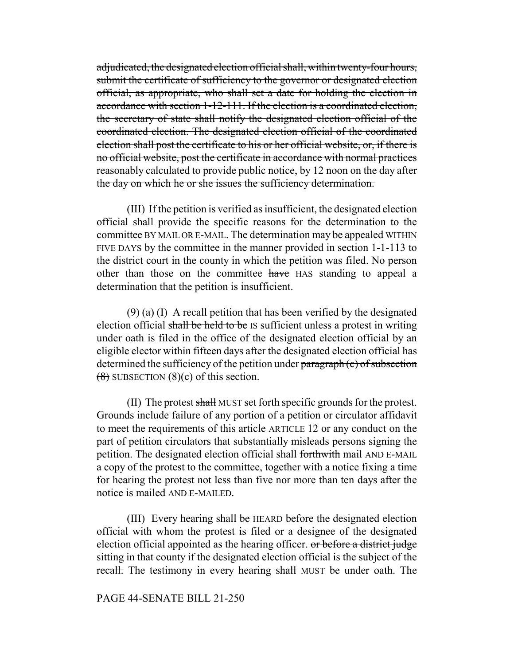adjudicated, the designated election official shall, within twenty-four hours, submit the certificate of sufficiency to the governor or designated election official, as appropriate, who shall set a date for holding the election in accordance with section 1-12-111. If the election is a coordinated election, the secretary of state shall notify the designated election official of the coordinated election. The designated election official of the coordinated election shall post the certificate to his or her official website, or, if there is no official website, post the certificate in accordance with normal practices reasonably calculated to provide public notice, by 12 noon on the day after the day on which he or she issues the sufficiency determination.

(III) If the petition is verified as insufficient, the designated election official shall provide the specific reasons for the determination to the committee BY MAIL OR E-MAIL. The determination may be appealed WITHIN FIVE DAYS by the committee in the manner provided in section 1-1-113 to the district court in the county in which the petition was filed. No person other than those on the committee have HAS standing to appeal a determination that the petition is insufficient.

(9) (a) (I) A recall petition that has been verified by the designated election official shall be held to be IS sufficient unless a protest in writing under oath is filed in the office of the designated election official by an eligible elector within fifteen days after the designated election official has determined the sufficiency of the petition under paragraph (c) of subsection  $(8)$  SUBSECTION  $(8)(c)$  of this section.

(II) The protest shall MUST set forth specific grounds for the protest. Grounds include failure of any portion of a petition or circulator affidavit to meet the requirements of this article ARTICLE 12 or any conduct on the part of petition circulators that substantially misleads persons signing the petition. The designated election official shall forthwith mail AND E-MAIL a copy of the protest to the committee, together with a notice fixing a time for hearing the protest not less than five nor more than ten days after the notice is mailed AND E-MAILED.

(III) Every hearing shall be HEARD before the designated election official with whom the protest is filed or a designee of the designated election official appointed as the hearing officer. or before a district judge sitting in that county if the designated election official is the subject of the recall. The testimony in every hearing shall MUST be under oath. The

PAGE 44-SENATE BILL 21-250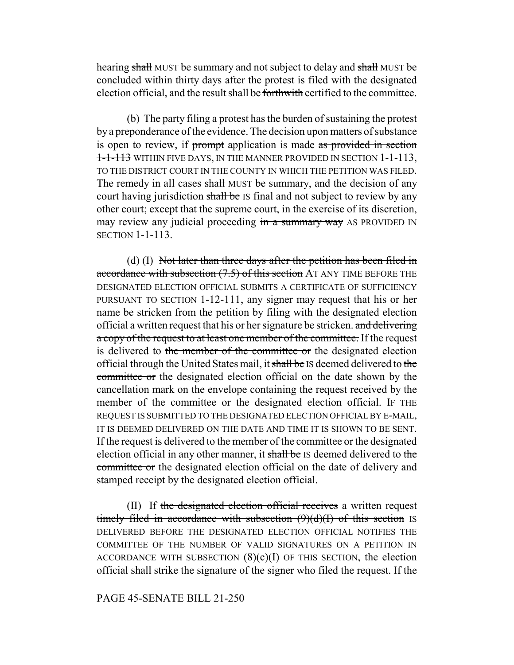hearing shall MUST be summary and not subject to delay and shall MUST be concluded within thirty days after the protest is filed with the designated election official, and the result shall be forthwith certified to the committee.

(b) The party filing a protest has the burden of sustaining the protest by a preponderance of the evidence. The decision upon matters of substance is open to review, if prompt application is made as provided in section 1-1-113 WITHIN FIVE DAYS, IN THE MANNER PROVIDED IN SECTION 1-1-113, TO THE DISTRICT COURT IN THE COUNTY IN WHICH THE PETITION WAS FILED. The remedy in all cases shall MUST be summary, and the decision of any court having jurisdiction shall be IS final and not subject to review by any other court; except that the supreme court, in the exercise of its discretion, may review any judicial proceeding in a summary way AS PROVIDED IN SECTION 1-1-113.

(d)  $(I)$  Not later than three days after the petition has been filed in accordance with subsection (7.5) of this section AT ANY TIME BEFORE THE DESIGNATED ELECTION OFFICIAL SUBMITS A CERTIFICATE OF SUFFICIENCY PURSUANT TO SECTION 1-12-111, any signer may request that his or her name be stricken from the petition by filing with the designated election official a written request that his or her signature be stricken. and delivering a copy of the request to at least one member of the committee. If the request is delivered to the member of the committee or the designated election official through the United States mail, it shall be IS deemed delivered to the committee or the designated election official on the date shown by the cancellation mark on the envelope containing the request received by the member of the committee or the designated election official. IF THE REQUEST IS SUBMITTED TO THE DESIGNATED ELECTION OFFICIAL BY E-MAIL, IT IS DEEMED DELIVERED ON THE DATE AND TIME IT IS SHOWN TO BE SENT. If the request is delivered to the member of the committee or the designated election official in any other manner, it shall be IS deemed delivered to the committee or the designated election official on the date of delivery and stamped receipt by the designated election official.

(II) If the designated election official receives a written request timely filed in accordance with subsection  $(9)(d)(I)$  of this section IS DELIVERED BEFORE THE DESIGNATED ELECTION OFFICIAL NOTIFIES THE COMMITTEE OF THE NUMBER OF VALID SIGNATURES ON A PETITION IN ACCORDANCE WITH SUBSECTION  $(8)(c)(I)$  OF THIS SECTION, the election official shall strike the signature of the signer who filed the request. If the

#### PAGE 45-SENATE BILL 21-250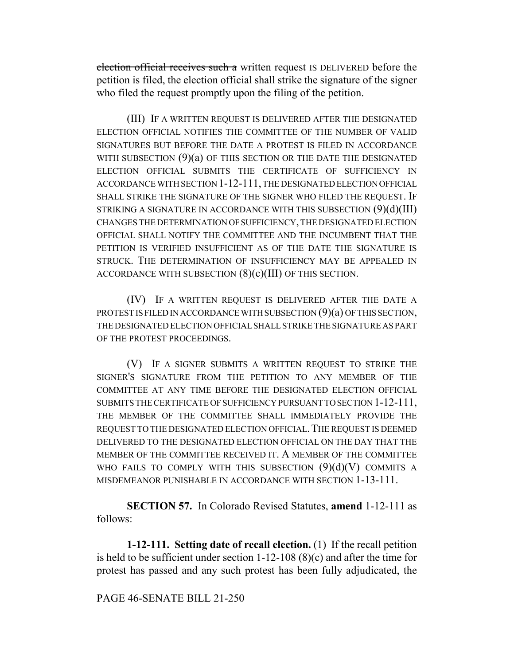election official receives such a written request IS DELIVERED before the petition is filed, the election official shall strike the signature of the signer who filed the request promptly upon the filing of the petition.

(III) IF A WRITTEN REQUEST IS DELIVERED AFTER THE DESIGNATED ELECTION OFFICIAL NOTIFIES THE COMMITTEE OF THE NUMBER OF VALID SIGNATURES BUT BEFORE THE DATE A PROTEST IS FILED IN ACCORDANCE WITH SUBSECTION  $(9)(a)$  OF THIS SECTION OR THE DATE THE DESIGNATED ELECTION OFFICIAL SUBMITS THE CERTIFICATE OF SUFFICIENCY IN ACCORDANCE WITH SECTION 1-12-111, THE DESIGNATED ELECTION OFFICIAL SHALL STRIKE THE SIGNATURE OF THE SIGNER WHO FILED THE REQUEST. IF STRIKING A SIGNATURE IN ACCORDANCE WITH THIS SUBSECTION  $(9)(d)(III)$ CHANGES THE DETERMINATION OF SUFFICIENCY, THE DESIGNATED ELECTION OFFICIAL SHALL NOTIFY THE COMMITTEE AND THE INCUMBENT THAT THE PETITION IS VERIFIED INSUFFICIENT AS OF THE DATE THE SIGNATURE IS STRUCK. THE DETERMINATION OF INSUFFICIENCY MAY BE APPEALED IN ACCORDANCE WITH SUBSECTION  $(8)(c)(III)$  OF THIS SECTION.

(IV) IF A WRITTEN REQUEST IS DELIVERED AFTER THE DATE A PROTEST IS FILED IN ACCORDANCE WITH SUBSECTION (9)(a) OF THIS SECTION, THE DESIGNATED ELECTION OFFICIAL SHALL STRIKE THE SIGNATURE AS PART OF THE PROTEST PROCEEDINGS.

(V) IF A SIGNER SUBMITS A WRITTEN REQUEST TO STRIKE THE SIGNER'S SIGNATURE FROM THE PETITION TO ANY MEMBER OF THE COMMITTEE AT ANY TIME BEFORE THE DESIGNATED ELECTION OFFICIAL SUBMITS THE CERTIFICATE OF SUFFICIENCY PURSUANT TO SECTION 1-12-111, THE MEMBER OF THE COMMITTEE SHALL IMMEDIATELY PROVIDE THE REQUEST TO THE DESIGNATED ELECTION OFFICIAL.THE REQUEST IS DEEMED DELIVERED TO THE DESIGNATED ELECTION OFFICIAL ON THE DAY THAT THE MEMBER OF THE COMMITTEE RECEIVED IT. A MEMBER OF THE COMMITTEE WHO FAILS TO COMPLY WITH THIS SUBSECTION  $(9)(d)(V)$  COMMITS A MISDEMEANOR PUNISHABLE IN ACCORDANCE WITH SECTION 1-13-111.

**SECTION 57.** In Colorado Revised Statutes, **amend** 1-12-111 as follows:

**1-12-111. Setting date of recall election.** (1) If the recall petition is held to be sufficient under section 1-12-108 (8)(c) and after the time for protest has passed and any such protest has been fully adjudicated, the

PAGE 46-SENATE BILL 21-250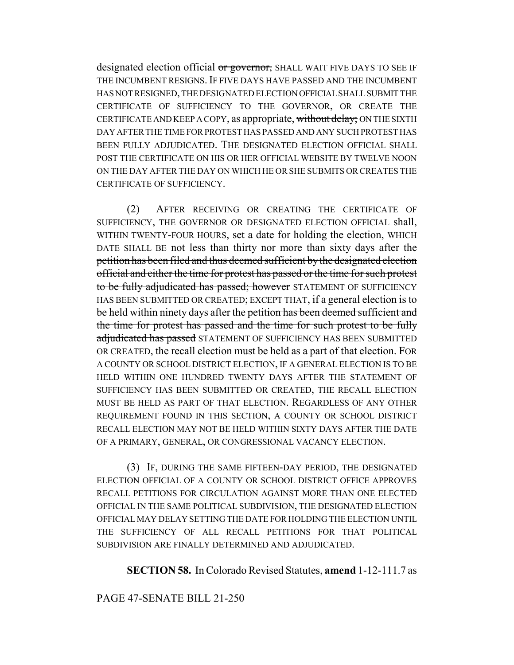designated election official or governor, SHALL WAIT FIVE DAYS TO SEE IF THE INCUMBENT RESIGNS. IF FIVE DAYS HAVE PASSED AND THE INCUMBENT HAS NOT RESIGNED, THE DESIGNATED ELECTION OFFICIAL SHALL SUBMIT THE CERTIFICATE OF SUFFICIENCY TO THE GOVERNOR, OR CREATE THE CERTIFICATE AND KEEP A COPY, as appropriate, without delay; ON THE SIXTH DAY AFTER THE TIME FOR PROTEST HAS PASSED AND ANY SUCH PROTEST HAS BEEN FULLY ADJUDICATED. THE DESIGNATED ELECTION OFFICIAL SHALL POST THE CERTIFICATE ON HIS OR HER OFFICIAL WEBSITE BY TWELVE NOON ON THE DAY AFTER THE DAY ON WHICH HE OR SHE SUBMITS OR CREATES THE CERTIFICATE OF SUFFICIENCY.

(2) AFTER RECEIVING OR CREATING THE CERTIFICATE OF SUFFICIENCY, THE GOVERNOR OR DESIGNATED ELECTION OFFICIAL shall, WITHIN TWENTY-FOUR HOURS, set a date for holding the election, WHICH DATE SHALL BE not less than thirty nor more than sixty days after the petition has been filed and thus deemed sufficient by the designated election official and either the time for protest has passed or the time for such protest to be fully adjudicated has passed; however STATEMENT OF SUFFICIENCY HAS BEEN SUBMITTED OR CREATED; EXCEPT THAT, if a general election is to be held within ninety days after the petition has been deemed sufficient and the time for protest has passed and the time for such protest to be fully adjudicated has passed STATEMENT OF SUFFICIENCY HAS BEEN SUBMITTED OR CREATED, the recall election must be held as a part of that election. FOR A COUNTY OR SCHOOL DISTRICT ELECTION, IF A GENERAL ELECTION IS TO BE HELD WITHIN ONE HUNDRED TWENTY DAYS AFTER THE STATEMENT OF SUFFICIENCY HAS BEEN SUBMITTED OR CREATED, THE RECALL ELECTION MUST BE HELD AS PART OF THAT ELECTION. REGARDLESS OF ANY OTHER REQUIREMENT FOUND IN THIS SECTION, A COUNTY OR SCHOOL DISTRICT RECALL ELECTION MAY NOT BE HELD WITHIN SIXTY DAYS AFTER THE DATE OF A PRIMARY, GENERAL, OR CONGRESSIONAL VACANCY ELECTION.

(3) IF, DURING THE SAME FIFTEEN-DAY PERIOD, THE DESIGNATED ELECTION OFFICIAL OF A COUNTY OR SCHOOL DISTRICT OFFICE APPROVES RECALL PETITIONS FOR CIRCULATION AGAINST MORE THAN ONE ELECTED OFFICIAL IN THE SAME POLITICAL SUBDIVISION, THE DESIGNATED ELECTION OFFICIAL MAY DELAY SETTING THE DATE FOR HOLDING THE ELECTION UNTIL THE SUFFICIENCY OF ALL RECALL PETITIONS FOR THAT POLITICAL SUBDIVISION ARE FINALLY DETERMINED AND ADJUDICATED.

**SECTION 58.** In Colorado Revised Statutes, **amend** 1-12-111.7 as

# PAGE 47-SENATE BILL 21-250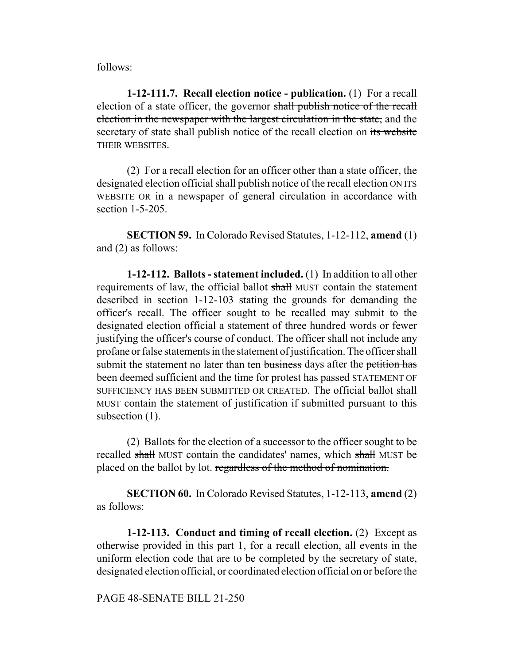follows:

**1-12-111.7. Recall election notice - publication.** (1) For a recall election of a state officer, the governor shall publish notice of the recall election in the newspaper with the largest circulation in the state, and the secretary of state shall publish notice of the recall election on its website THEIR WEBSITES.

(2) For a recall election for an officer other than a state officer, the designated election official shall publish notice of the recall election ON ITS WEBSITE OR in a newspaper of general circulation in accordance with section 1-5-205.

**SECTION 59.** In Colorado Revised Statutes, 1-12-112, **amend** (1) and (2) as follows:

**1-12-112. Ballots - statement included.** (1) In addition to all other requirements of law, the official ballot shall MUST contain the statement described in section 1-12-103 stating the grounds for demanding the officer's recall. The officer sought to be recalled may submit to the designated election official a statement of three hundred words or fewer justifying the officer's course of conduct. The officer shall not include any profane or false statements in the statement of justification. The officer shall submit the statement no later than ten business days after the petition has been deemed sufficient and the time for protest has passed STATEMENT OF SUFFICIENCY HAS BEEN SUBMITTED OR CREATED. The official ballot shall MUST contain the statement of justification if submitted pursuant to this subsection (1).

(2) Ballots for the election of a successor to the officer sought to be recalled shall MUST contain the candidates' names, which shall MUST be placed on the ballot by lot. regardless of the method of nomination.

**SECTION 60.** In Colorado Revised Statutes, 1-12-113, **amend** (2) as follows:

**1-12-113. Conduct and timing of recall election.** (2) Except as otherwise provided in this part 1, for a recall election, all events in the uniform election code that are to be completed by the secretary of state, designated election official, or coordinated election official on or before the

PAGE 48-SENATE BILL 21-250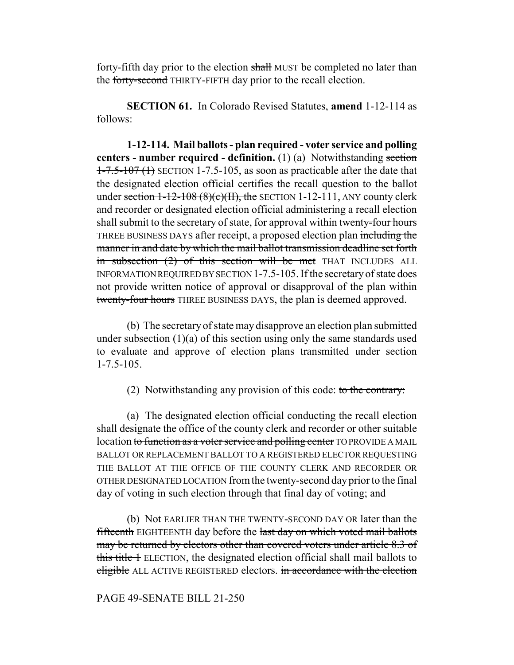forty-fifth day prior to the election shall MUST be completed no later than the forty-second THIRTY-FIFTH day prior to the recall election.

**SECTION 61.** In Colorado Revised Statutes, **amend** 1-12-114 as follows:

**1-12-114. Mail ballots - plan required - voter service and polling centers - number required - definition.** (1) (a) Notwithstanding section  $1-7.5-107$  (1) SECTION 1-7.5-105, as soon as practicable after the date that the designated election official certifies the recall question to the ballot under section  $1-12-108$  (8)(c)(II), the SECTION 1-12-111, ANY county clerk and recorder or designated election official administering a recall election shall submit to the secretary of state, for approval within twenty-four hours THREE BUSINESS DAYS after receipt, a proposed election plan including the manner in and date by which the mail ballot transmission deadline set forth in subsection  $(2)$  of this section will be met THAT INCLUDES ALL INFORMATION REQUIRED BY SECTION 1-7.5-105. If the secretary of state does not provide written notice of approval or disapproval of the plan within twenty-four hours THREE BUSINESS DAYS, the plan is deemed approved.

(b) The secretary of state may disapprove an election plan submitted under subsection (1)(a) of this section using only the same standards used to evaluate and approve of election plans transmitted under section 1-7.5-105.

(2) Notwithstanding any provision of this code: to the contrary:

(a) The designated election official conducting the recall election shall designate the office of the county clerk and recorder or other suitable location to function as a voter service and polling center TO PROVIDE A MAIL BALLOT OR REPLACEMENT BALLOT TO A REGISTERED ELECTOR REQUESTING THE BALLOT AT THE OFFICE OF THE COUNTY CLERK AND RECORDER OR OTHER DESIGNATED LOCATION from the twenty-second day prior to the final day of voting in such election through that final day of voting; and

(b) Not EARLIER THAN THE TWENTY-SECOND DAY OR later than the fifteenth EIGHTEENTH day before the last day on which voted mail ballots may be returned by electors other than covered voters under article 8.3 of this title 1 ELECTION, the designated election official shall mail ballots to eligible ALL ACTIVE REGISTERED electors. in accordance with the election

## PAGE 49-SENATE BILL 21-250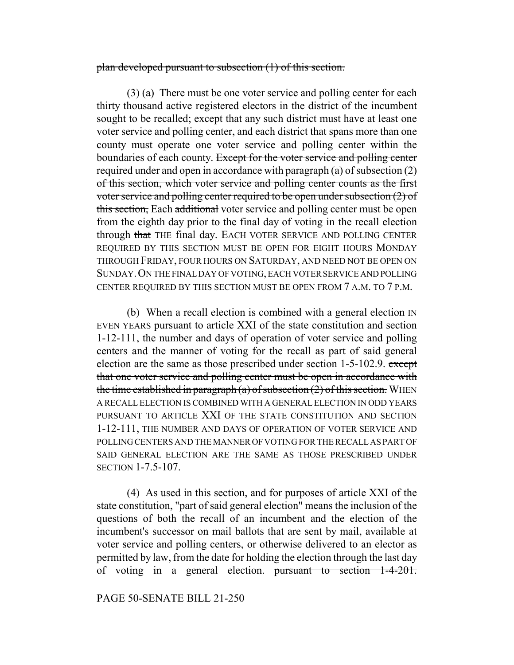#### plan developed pursuant to subsection (1) of this section.

(3) (a) There must be one voter service and polling center for each thirty thousand active registered electors in the district of the incumbent sought to be recalled; except that any such district must have at least one voter service and polling center, and each district that spans more than one county must operate one voter service and polling center within the boundaries of each county. Except for the voter service and polling center required under and open in accordance with paragraph  $(a)$  of subsection  $(2)$ of this section, which voter service and polling center counts as the first voter service and polling center required to be open under subsection (2) of this section, Each additional voter service and polling center must be open from the eighth day prior to the final day of voting in the recall election through that THE final day. EACH VOTER SERVICE AND POLLING CENTER REQUIRED BY THIS SECTION MUST BE OPEN FOR EIGHT HOURS MONDAY THROUGH FRIDAY, FOUR HOURS ON SATURDAY, AND NEED NOT BE OPEN ON SUNDAY.ON THE FINAL DAY OF VOTING, EACH VOTER SERVICE AND POLLING CENTER REQUIRED BY THIS SECTION MUST BE OPEN FROM 7 A.M. TO 7 P.M.

(b) When a recall election is combined with a general election IN EVEN YEARS pursuant to article XXI of the state constitution and section 1-12-111, the number and days of operation of voter service and polling centers and the manner of voting for the recall as part of said general election are the same as those prescribed under section 1-5-102.9. except that one voter service and polling center must be open in accordance with the time established in paragraph (a) of subsection  $(2)$  of this section. WHEN A RECALL ELECTION IS COMBINED WITH A GENERAL ELECTION IN ODD YEARS PURSUANT TO ARTICLE XXI OF THE STATE CONSTITUTION AND SECTION 1-12-111, THE NUMBER AND DAYS OF OPERATION OF VOTER SERVICE AND POLLING CENTERS AND THE MANNER OF VOTING FOR THE RECALL AS PART OF SAID GENERAL ELECTION ARE THE SAME AS THOSE PRESCRIBED UNDER SECTION 1-7.5-107.

(4) As used in this section, and for purposes of article XXI of the state constitution, "part of said general election" means the inclusion of the questions of both the recall of an incumbent and the election of the incumbent's successor on mail ballots that are sent by mail, available at voter service and polling centers, or otherwise delivered to an elector as permitted by law, from the date for holding the election through the last day of voting in a general election. pursuant to section 1-4-201.

PAGE 50-SENATE BILL 21-250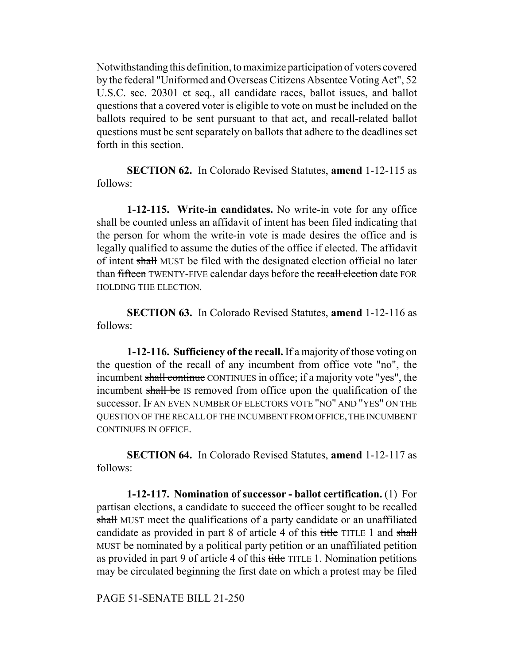Notwithstanding this definition, to maximize participation of voters covered by the federal "Uniformed and Overseas Citizens Absentee Voting Act", 52 U.S.C. sec. 20301 et seq., all candidate races, ballot issues, and ballot questions that a covered voter is eligible to vote on must be included on the ballots required to be sent pursuant to that act, and recall-related ballot questions must be sent separately on ballots that adhere to the deadlines set forth in this section.

**SECTION 62.** In Colorado Revised Statutes, **amend** 1-12-115 as follows:

**1-12-115. Write-in candidates.** No write-in vote for any office shall be counted unless an affidavit of intent has been filed indicating that the person for whom the write-in vote is made desires the office and is legally qualified to assume the duties of the office if elected. The affidavit of intent shall MUST be filed with the designated election official no later than fifteen TWENTY-FIVE calendar days before the recall election date FOR HOLDING THE ELECTION.

**SECTION 63.** In Colorado Revised Statutes, **amend** 1-12-116 as follows:

**1-12-116. Sufficiency of the recall.** If a majority of those voting on the question of the recall of any incumbent from office vote "no", the incumbent shall continue CONTINUES in office; if a majority vote "yes", the incumbent shall be IS removed from office upon the qualification of the successor. IF AN EVEN NUMBER OF ELECTORS VOTE "NO" AND "YES" ON THE QUESTION OF THE RECALL OF THE INCUMBENT FROM OFFICE, THE INCUMBENT CONTINUES IN OFFICE.

**SECTION 64.** In Colorado Revised Statutes, **amend** 1-12-117 as follows:

**1-12-117. Nomination of successor - ballot certification.** (1) For partisan elections, a candidate to succeed the officer sought to be recalled shall MUST meet the qualifications of a party candidate or an unaffiliated candidate as provided in part 8 of article 4 of this title TITLE 1 and shall MUST be nominated by a political party petition or an unaffiliated petition as provided in part 9 of article 4 of this title TITLE 1. Nomination petitions may be circulated beginning the first date on which a protest may be filed

PAGE 51-SENATE BILL 21-250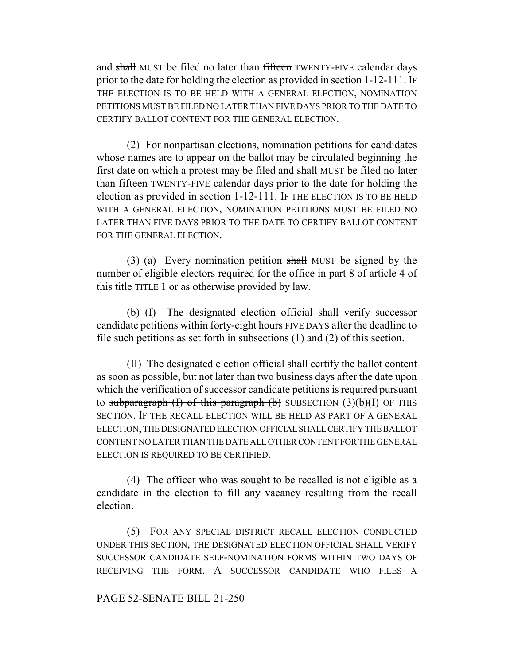and shall MUST be filed no later than fifteen TWENTY-FIVE calendar days prior to the date for holding the election as provided in section 1-12-111. IF THE ELECTION IS TO BE HELD WITH A GENERAL ELECTION, NOMINATION PETITIONS MUST BE FILED NO LATER THAN FIVE DAYS PRIOR TO THE DATE TO CERTIFY BALLOT CONTENT FOR THE GENERAL ELECTION.

(2) For nonpartisan elections, nomination petitions for candidates whose names are to appear on the ballot may be circulated beginning the first date on which a protest may be filed and shall MUST be filed no later than fifteen TWENTY-FIVE calendar days prior to the date for holding the election as provided in section 1-12-111. IF THE ELECTION IS TO BE HELD WITH A GENERAL ELECTION, NOMINATION PETITIONS MUST BE FILED NO LATER THAN FIVE DAYS PRIOR TO THE DATE TO CERTIFY BALLOT CONTENT FOR THE GENERAL ELECTION.

(3) (a) Every nomination petition shall MUST be signed by the number of eligible electors required for the office in part 8 of article 4 of this title TITLE 1 or as otherwise provided by law.

(b) (I) The designated election official shall verify successor candidate petitions within forty-eight hours FIVE DAYS after the deadline to file such petitions as set forth in subsections (1) and (2) of this section.

(II) The designated election official shall certify the ballot content as soon as possible, but not later than two business days after the date upon which the verification of successor candidate petitions is required pursuant to subparagraph (I) of this paragraph (b) SUBSECTION  $(3)(b)(I)$  OF THIS SECTION. IF THE RECALL ELECTION WILL BE HELD AS PART OF A GENERAL ELECTION, THE DESIGNATED ELECTION OFFICIAL SHALL CERTIFY THE BALLOT CONTENT NO LATER THAN THE DATE ALL OTHER CONTENT FOR THE GENERAL ELECTION IS REQUIRED TO BE CERTIFIED.

(4) The officer who was sought to be recalled is not eligible as a candidate in the election to fill any vacancy resulting from the recall election.

(5) FOR ANY SPECIAL DISTRICT RECALL ELECTION CONDUCTED UNDER THIS SECTION, THE DESIGNATED ELECTION OFFICIAL SHALL VERIFY SUCCESSOR CANDIDATE SELF-NOMINATION FORMS WITHIN TWO DAYS OF RECEIVING THE FORM. A SUCCESSOR CANDIDATE WHO FILES A

# PAGE 52-SENATE BILL 21-250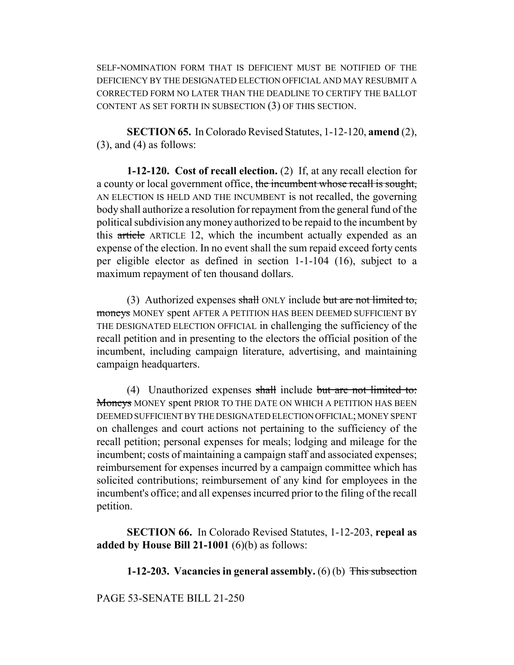SELF-NOMINATION FORM THAT IS DEFICIENT MUST BE NOTIFIED OF THE DEFICIENCY BY THE DESIGNATED ELECTION OFFICIAL AND MAY RESUBMIT A CORRECTED FORM NO LATER THAN THE DEADLINE TO CERTIFY THE BALLOT CONTENT AS SET FORTH IN SUBSECTION (3) OF THIS SECTION.

**SECTION 65.** In Colorado Revised Statutes, 1-12-120, **amend** (2),  $(3)$ , and  $(4)$  as follows:

**1-12-120. Cost of recall election.** (2) If, at any recall election for a county or local government office, the incumbent whose recall is sought, AN ELECTION IS HELD AND THE INCUMBENT is not recalled, the governing body shall authorize a resolution for repayment from the general fund of the political subdivision any money authorized to be repaid to the incumbent by this article ARTICLE 12, which the incumbent actually expended as an expense of the election. In no event shall the sum repaid exceed forty cents per eligible elector as defined in section 1-1-104 (16), subject to a maximum repayment of ten thousand dollars.

(3) Authorized expenses shall ONLY include but are not limited to, moneys MONEY spent AFTER A PETITION HAS BEEN DEEMED SUFFICIENT BY THE DESIGNATED ELECTION OFFICIAL in challenging the sufficiency of the recall petition and in presenting to the electors the official position of the incumbent, including campaign literature, advertising, and maintaining campaign headquarters.

(4) Unauthorized expenses shall include but are not limited to: Moneys MONEY spent PRIOR TO THE DATE ON WHICH A PETITION HAS BEEN DEEMED SUFFICIENT BY THE DESIGNATED ELECTION OFFICIAL; MONEY SPENT on challenges and court actions not pertaining to the sufficiency of the recall petition; personal expenses for meals; lodging and mileage for the incumbent; costs of maintaining a campaign staff and associated expenses; reimbursement for expenses incurred by a campaign committee which has solicited contributions; reimbursement of any kind for employees in the incumbent's office; and all expenses incurred prior to the filing of the recall petition.

**SECTION 66.** In Colorado Revised Statutes, 1-12-203, **repeal as added by House Bill 21-1001** (6)(b) as follows:

**1-12-203. Vacancies in general assembly.** (6) (b) This subsection

PAGE 53-SENATE BILL 21-250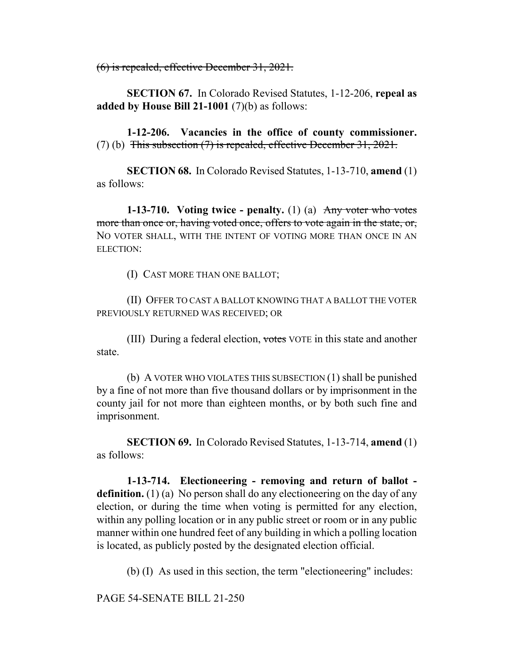(6) is repealed, effective December 31, 2021.

**SECTION 67.** In Colorado Revised Statutes, 1-12-206, **repeal as added by House Bill 21-1001** (7)(b) as follows:

**1-12-206. Vacancies in the office of county commissioner.** (7) (b) This subsection (7) is repealed, effective December 31, 2021.

**SECTION 68.** In Colorado Revised Statutes, 1-13-710, **amend** (1) as follows:

**1-13-710.** Voting twice - penalty. (1) (a) Any voter who votes more than once or, having voted once, offers to vote again in the state, or, NO VOTER SHALL, WITH THE INTENT OF VOTING MORE THAN ONCE IN AN ELECTION:

(I) CAST MORE THAN ONE BALLOT;

(II) OFFER TO CAST A BALLOT KNOWING THAT A BALLOT THE VOTER PREVIOUSLY RETURNED WAS RECEIVED; OR

(III) During a federal election, votes VOTE in this state and another state.

(b) A VOTER WHO VIOLATES THIS SUBSECTION (1) shall be punished by a fine of not more than five thousand dollars or by imprisonment in the county jail for not more than eighteen months, or by both such fine and imprisonment.

**SECTION 69.** In Colorado Revised Statutes, 1-13-714, **amend** (1) as follows:

**1-13-714. Electioneering - removing and return of ballot definition.** (1) (a) No person shall do any electioneering on the day of any election, or during the time when voting is permitted for any election, within any polling location or in any public street or room or in any public manner within one hundred feet of any building in which a polling location is located, as publicly posted by the designated election official.

(b) (I) As used in this section, the term "electioneering" includes:

PAGE 54-SENATE BILL 21-250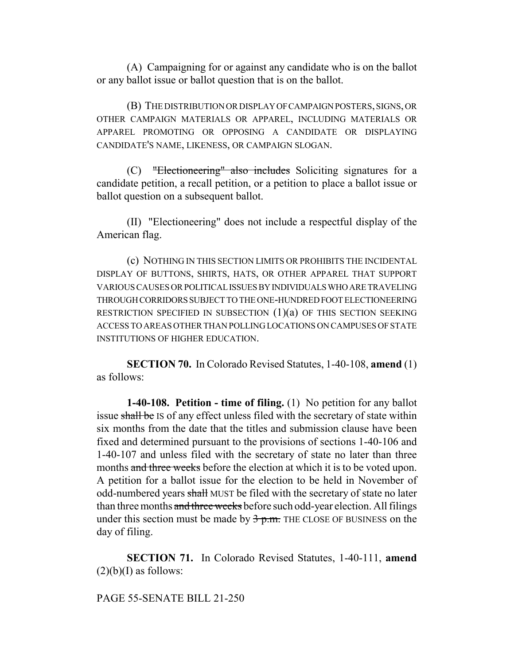(A) Campaigning for or against any candidate who is on the ballot or any ballot issue or ballot question that is on the ballot.

(B) THE DISTRIBUTION OR DISPLAY OF CAMPAIGN POSTERS, SIGNS, OR OTHER CAMPAIGN MATERIALS OR APPAREL, INCLUDING MATERIALS OR APPAREL PROMOTING OR OPPOSING A CANDIDATE OR DISPLAYING CANDIDATE'S NAME, LIKENESS, OR CAMPAIGN SLOGAN.

(C) "Electioneering" also includes Soliciting signatures for a candidate petition, a recall petition, or a petition to place a ballot issue or ballot question on a subsequent ballot.

(II) "Electioneering" does not include a respectful display of the American flag.

(c) NOTHING IN THIS SECTION LIMITS OR PROHIBITS THE INCIDENTAL DISPLAY OF BUTTONS, SHIRTS, HATS, OR OTHER APPAREL THAT SUPPORT VARIOUS CAUSES OR POLITICAL ISSUES BY INDIVIDUALS WHO ARE TRAVELING THROUGH CORRIDORS SUBJECT TO THE ONE-HUNDRED FOOT ELECTIONEERING RESTRICTION SPECIFIED IN SUBSECTION  $(1)(a)$  OF THIS SECTION SEEKING ACCESS TO AREAS OTHER THAN POLLING LOCATIONS ON CAMPUSES OF STATE INSTITUTIONS OF HIGHER EDUCATION.

**SECTION 70.** In Colorado Revised Statutes, 1-40-108, **amend** (1) as follows:

**1-40-108. Petition - time of filing.** (1) No petition for any ballot issue shall be IS of any effect unless filed with the secretary of state within six months from the date that the titles and submission clause have been fixed and determined pursuant to the provisions of sections 1-40-106 and 1-40-107 and unless filed with the secretary of state no later than three months and three weeks before the election at which it is to be voted upon. A petition for a ballot issue for the election to be held in November of odd-numbered years shall MUST be filed with the secretary of state no later than three months and three weeks before such odd-year election. All filings under this section must be made by  $\frac{3}{5}$  p.m. THE CLOSE OF BUSINESS on the day of filing.

**SECTION 71.** In Colorado Revised Statutes, 1-40-111, **amend**  $(2)(b)(I)$  as follows:

## PAGE 55-SENATE BILL 21-250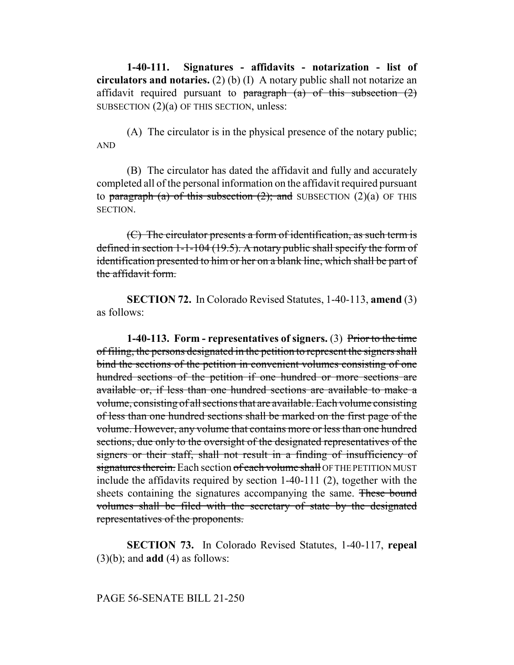**1-40-111. Signatures - affidavits - notarization - list of circulators and notaries.** (2) (b) (I) A notary public shall not notarize an affidavit required pursuant to paragraph (a) of this subsection  $(2)$ SUBSECTION  $(2)(a)$  OF THIS SECTION, unless:

(A) The circulator is in the physical presence of the notary public; AND

(B) The circulator has dated the affidavit and fully and accurately completed all of the personal information on the affidavit required pursuant to paragraph (a) of this subsection  $(2)$ ; and SUBSECTION  $(2)(a)$  OF THIS SECTION.

 $(C)$  The circulator presents a form of identification, as such term is defined in section 1-1-104 (19.5). A notary public shall specify the form of identification presented to him or her on a blank line, which shall be part of the affidavit form.

**SECTION 72.** In Colorado Revised Statutes, 1-40-113, **amend** (3) as follows:

**1-40-113. Form - representatives of signers.** (3) Prior to the time of filing, the persons designated in the petition to represent the signers shall bind the sections of the petition in convenient volumes consisting of one hundred sections of the petition if one hundred or more sections are available or, if less than one hundred sections are available to make a volume, consisting of all sections that are available. Each volume consisting of less than one hundred sections shall be marked on the first page of the volume. However, any volume that contains more or less than one hundred sections, due only to the oversight of the designated representatives of the signers or their staff, shall not result in a finding of insufficiency of signatures therein. Each section of each volume shall OF THE PETITION MUST include the affidavits required by section 1-40-111 (2), together with the sheets containing the signatures accompanying the same. These bound volumes shall be filed with the secretary of state by the designated representatives of the proponents.

**SECTION 73.** In Colorado Revised Statutes, 1-40-117, **repeal** (3)(b); and **add** (4) as follows:

#### PAGE 56-SENATE BILL 21-250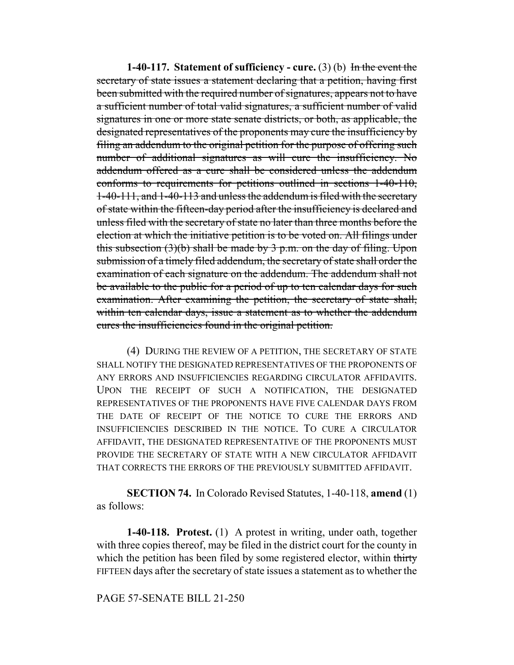**1-40-117.** Statement of sufficiency - cure. (3) (b) In the event the secretary of state issues a statement declaring that a petition, having first been submitted with the required number of signatures, appears not to have a sufficient number of total valid signatures, a sufficient number of valid signatures in one or more state senate districts, or both, as applicable, the designated representatives of the proponents may cure the insufficiency by filing an addendum to the original petition for the purpose of offering such number of additional signatures as will cure the insufficiency. No addendum offered as a cure shall be considered unless the addendum conforms to requirements for petitions outlined in sections 1-40-110, 1-40-111, and 1-40-113 and unless the addendum is filed with the secretary of state within the fifteen-day period after the insufficiency is declared and unless filed with the secretary of state no later than three months before the election at which the initiative petition is to be voted on. All filings under this subsection  $(3)(b)$  shall be made by 3 p.m. on the day of filing. Upon submission of a timely filed addendum, the secretary of state shall order the examination of each signature on the addendum. The addendum shall not be available to the public for a period of up to ten calendar days for such examination. After examining the petition, the secretary of state shall, within ten calendar days, issue a statement as to whether the addendum cures the insufficiencies found in the original petition.

(4) DURING THE REVIEW OF A PETITION, THE SECRETARY OF STATE SHALL NOTIFY THE DESIGNATED REPRESENTATIVES OF THE PROPONENTS OF ANY ERRORS AND INSUFFICIENCIES REGARDING CIRCULATOR AFFIDAVITS. UPON THE RECEIPT OF SUCH A NOTIFICATION, THE DESIGNATED REPRESENTATIVES OF THE PROPONENTS HAVE FIVE CALENDAR DAYS FROM THE DATE OF RECEIPT OF THE NOTICE TO CURE THE ERRORS AND INSUFFICIENCIES DESCRIBED IN THE NOTICE. TO CURE A CIRCULATOR AFFIDAVIT, THE DESIGNATED REPRESENTATIVE OF THE PROPONENTS MUST PROVIDE THE SECRETARY OF STATE WITH A NEW CIRCULATOR AFFIDAVIT THAT CORRECTS THE ERRORS OF THE PREVIOUSLY SUBMITTED AFFIDAVIT.

**SECTION 74.** In Colorado Revised Statutes, 1-40-118, **amend** (1) as follows:

**1-40-118. Protest.** (1) A protest in writing, under oath, together with three copies thereof, may be filed in the district court for the county in which the petition has been filed by some registered elector, within thirty FIFTEEN days after the secretary of state issues a statement as to whether the

PAGE 57-SENATE BILL 21-250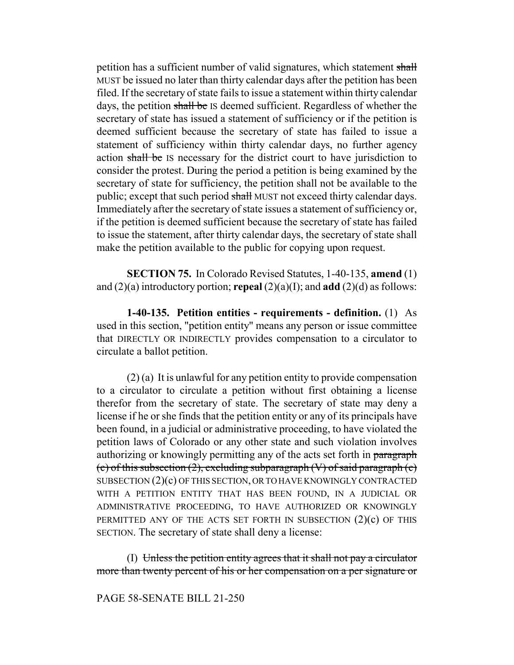petition has a sufficient number of valid signatures, which statement shall MUST be issued no later than thirty calendar days after the petition has been filed. If the secretary of state fails to issue a statement within thirty calendar days, the petition shall be IS deemed sufficient. Regardless of whether the secretary of state has issued a statement of sufficiency or if the petition is deemed sufficient because the secretary of state has failed to issue a statement of sufficiency within thirty calendar days, no further agency action shall be IS necessary for the district court to have jurisdiction to consider the protest. During the period a petition is being examined by the secretary of state for sufficiency, the petition shall not be available to the public; except that such period shall MUST not exceed thirty calendar days. Immediately after the secretary of state issues a statement of sufficiency or, if the petition is deemed sufficient because the secretary of state has failed to issue the statement, after thirty calendar days, the secretary of state shall make the petition available to the public for copying upon request.

**SECTION 75.** In Colorado Revised Statutes, 1-40-135, **amend** (1) and (2)(a) introductory portion; **repeal** (2)(a)(I); and **add** (2)(d) as follows:

**1-40-135. Petition entities - requirements - definition.** (1) As used in this section, "petition entity" means any person or issue committee that DIRECTLY OR INDIRECTLY provides compensation to a circulator to circulate a ballot petition.

(2) (a) It is unlawful for any petition entity to provide compensation to a circulator to circulate a petition without first obtaining a license therefor from the secretary of state. The secretary of state may deny a license if he or she finds that the petition entity or any of its principals have been found, in a judicial or administrative proceeding, to have violated the petition laws of Colorado or any other state and such violation involves authorizing or knowingly permitting any of the acts set forth in paragraph (c) of this subsection (2), excluding subparagraph  $(V)$  of said paragraph  $(c)$ SUBSECTION (2)(c) OF THIS SECTION, OR TO HAVE KNOWINGLY CONTRACTED WITH A PETITION ENTITY THAT HAS BEEN FOUND, IN A JUDICIAL OR ADMINISTRATIVE PROCEEDING, TO HAVE AUTHORIZED OR KNOWINGLY PERMITTED ANY OF THE ACTS SET FORTH IN SUBSECTION  $(2)(c)$  OF THIS SECTION. The secretary of state shall deny a license:

(I) Unless the petition entity agrees that it shall not pay a circulator more than twenty percent of his or her compensation on a per signature or

# PAGE 58-SENATE BILL 21-250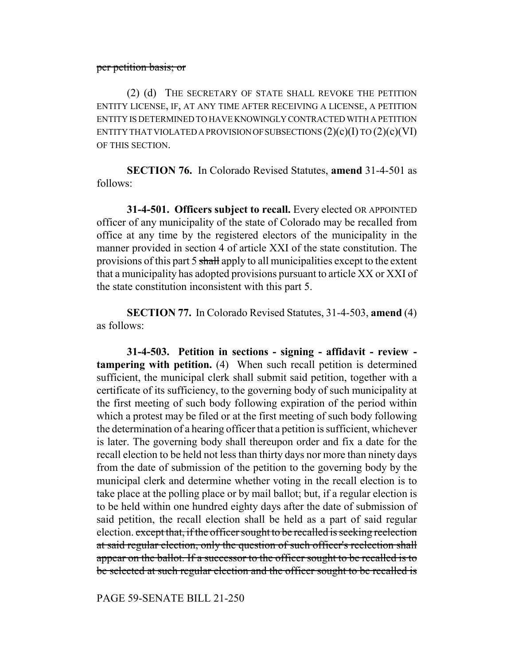#### per petition basis; or

(2) (d) THE SECRETARY OF STATE SHALL REVOKE THE PETITION ENTITY LICENSE, IF, AT ANY TIME AFTER RECEIVING A LICENSE, A PETITION ENTITY IS DETERMINED TO HAVE KNOWINGLY CONTRACTED WITH A PETITION ENTITY THAT VIOLATED A PROVISION OF SUBSECTIONS  $(2)(c)(I)$  TO  $(2)(c)(VI)$ OF THIS SECTION.

**SECTION 76.** In Colorado Revised Statutes, **amend** 31-4-501 as follows:

**31-4-501. Officers subject to recall.** Every elected OR APPOINTED officer of any municipality of the state of Colorado may be recalled from office at any time by the registered electors of the municipality in the manner provided in section 4 of article XXI of the state constitution. The provisions of this part 5 shall apply to all municipalities except to the extent that a municipality has adopted provisions pursuant to article XX or XXI of the state constitution inconsistent with this part 5.

**SECTION 77.** In Colorado Revised Statutes, 31-4-503, **amend** (4) as follows:

**31-4-503. Petition in sections - signing - affidavit - review tampering with petition.** (4) When such recall petition is determined sufficient, the municipal clerk shall submit said petition, together with a certificate of its sufficiency, to the governing body of such municipality at the first meeting of such body following expiration of the period within which a protest may be filed or at the first meeting of such body following the determination of a hearing officer that a petition is sufficient, whichever is later. The governing body shall thereupon order and fix a date for the recall election to be held not less than thirty days nor more than ninety days from the date of submission of the petition to the governing body by the municipal clerk and determine whether voting in the recall election is to take place at the polling place or by mail ballot; but, if a regular election is to be held within one hundred eighty days after the date of submission of said petition, the recall election shall be held as a part of said regular election. except that, if the officer sought to be recalled is seeking reelection at said regular election, only the question of such officer's reelection shall appear on the ballot. If a successor to the officer sought to be recalled is to be selected at such regular election and the officer sought to be recalled is

PAGE 59-SENATE BILL 21-250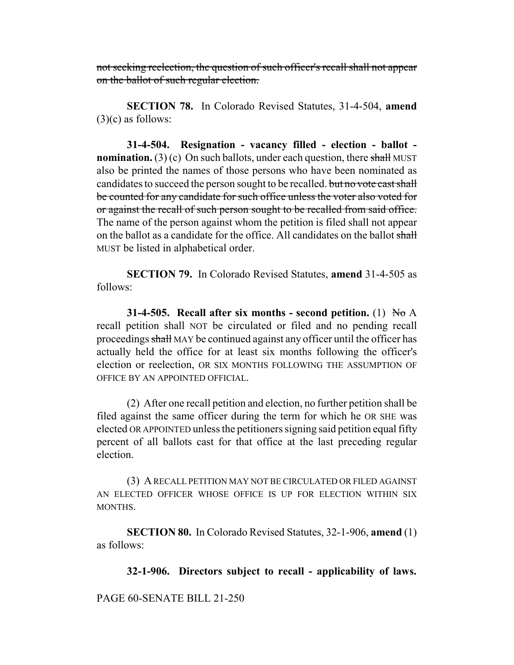not seeking reelection, the question of such officer's recall shall not appear on the ballot of such regular election.

**SECTION 78.** In Colorado Revised Statutes, 31-4-504, **amend**  $(3)(c)$  as follows:

**31-4-504. Resignation - vacancy filled - election - ballot nomination.** (3) (c) On such ballots, under each question, there shall MUST also be printed the names of those persons who have been nominated as candidates to succeed the person sought to be recalled. but no vote cast shall be counted for any candidate for such office unless the voter also voted for or against the recall of such person sought to be recalled from said office. The name of the person against whom the petition is filed shall not appear on the ballot as a candidate for the office. All candidates on the ballot shall MUST be listed in alphabetical order.

**SECTION 79.** In Colorado Revised Statutes, **amend** 31-4-505 as follows:

**31-4-505.** Recall after six months - second petition. (1) No A recall petition shall NOT be circulated or filed and no pending recall proceedings shall MAY be continued against any officer until the officer has actually held the office for at least six months following the officer's election or reelection, OR SIX MONTHS FOLLOWING THE ASSUMPTION OF OFFICE BY AN APPOINTED OFFICIAL.

(2) After one recall petition and election, no further petition shall be filed against the same officer during the term for which he OR SHE was elected OR APPOINTED unless the petitioners signing said petition equal fifty percent of all ballots cast for that office at the last preceding regular election.

(3) A RECALL PETITION MAY NOT BE CIRCULATED OR FILED AGAINST AN ELECTED OFFICER WHOSE OFFICE IS UP FOR ELECTION WITHIN SIX MONTHS.

**SECTION 80.** In Colorado Revised Statutes, 32-1-906, **amend** (1) as follows:

**32-1-906. Directors subject to recall - applicability of laws.**

PAGE 60-SENATE BILL 21-250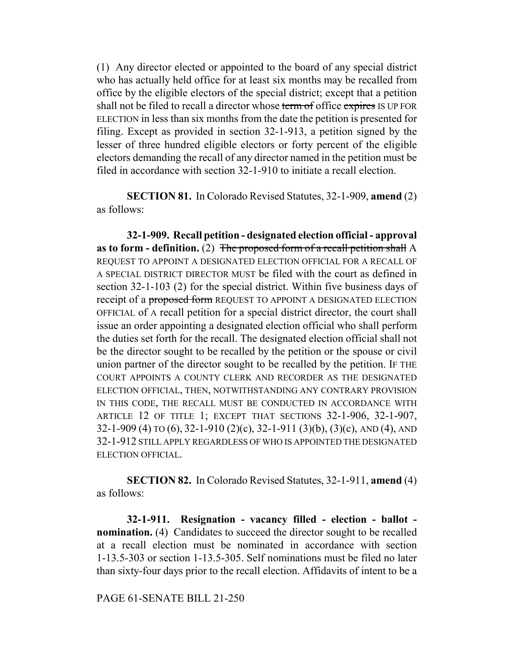(1) Any director elected or appointed to the board of any special district who has actually held office for at least six months may be recalled from office by the eligible electors of the special district; except that a petition shall not be filed to recall a director whose term of office expires IS UP FOR ELECTION in less than six months from the date the petition is presented for filing. Except as provided in section 32-1-913, a petition signed by the lesser of three hundred eligible electors or forty percent of the eligible electors demanding the recall of any director named in the petition must be filed in accordance with section 32-1-910 to initiate a recall election.

**SECTION 81.** In Colorado Revised Statutes, 32-1-909, **amend** (2) as follows:

**32-1-909. Recall petition - designated election official - approval as to form - definition.** (2) The proposed form of a recall petition shall A REQUEST TO APPOINT A DESIGNATED ELECTION OFFICIAL FOR A RECALL OF A SPECIAL DISTRICT DIRECTOR MUST be filed with the court as defined in section 32-1-103 (2) for the special district. Within five business days of receipt of a proposed form REQUEST TO APPOINT A DESIGNATED ELECTION OFFICIAL of A recall petition for a special district director, the court shall issue an order appointing a designated election official who shall perform the duties set forth for the recall. The designated election official shall not be the director sought to be recalled by the petition or the spouse or civil union partner of the director sought to be recalled by the petition. IF THE COURT APPOINTS A COUNTY CLERK AND RECORDER AS THE DESIGNATED ELECTION OFFICIAL, THEN, NOTWITHSTANDING ANY CONTRARY PROVISION IN THIS CODE, THE RECALL MUST BE CONDUCTED IN ACCORDANCE WITH ARTICLE 12 OF TITLE 1; EXCEPT THAT SECTIONS 32-1-906, 32-1-907, 32-1-909 (4) TO (6), 32-1-910 (2)(c), 32-1-911 (3)(b), (3)(c), AND (4), AND 32-1-912 STILL APPLY REGARDLESS OF WHO IS APPOINTED THE DESIGNATED ELECTION OFFICIAL.

**SECTION 82.** In Colorado Revised Statutes, 32-1-911, **amend** (4) as follows:

**32-1-911. Resignation - vacancy filled - election - ballot nomination.** (4) Candidates to succeed the director sought to be recalled at a recall election must be nominated in accordance with section 1-13.5-303 or section 1-13.5-305. Self nominations must be filed no later than sixty-four days prior to the recall election. Affidavits of intent to be a

PAGE 61-SENATE BILL 21-250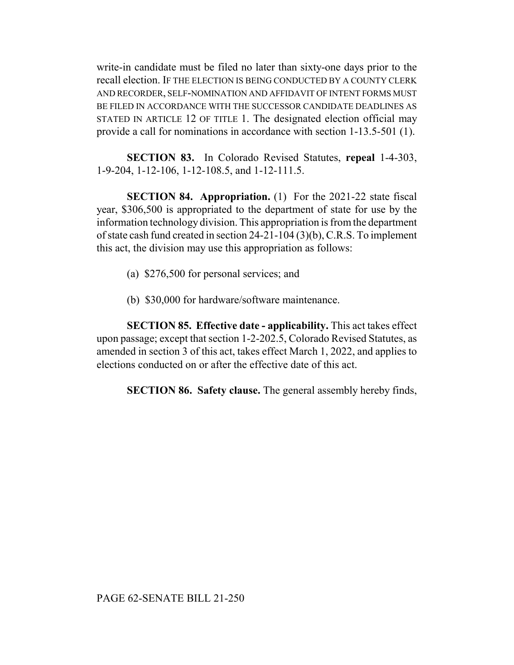write-in candidate must be filed no later than sixty-one days prior to the recall election. IF THE ELECTION IS BEING CONDUCTED BY A COUNTY CLERK AND RECORDER, SELF-NOMINATION AND AFFIDAVIT OF INTENT FORMS MUST BE FILED IN ACCORDANCE WITH THE SUCCESSOR CANDIDATE DEADLINES AS STATED IN ARTICLE 12 OF TITLE 1. The designated election official may provide a call for nominations in accordance with section 1-13.5-501 (1).

**SECTION 83.** In Colorado Revised Statutes, **repeal** 1-4-303, 1-9-204, 1-12-106, 1-12-108.5, and 1-12-111.5.

**SECTION 84. Appropriation.** (1) For the 2021-22 state fiscal year, \$306,500 is appropriated to the department of state for use by the information technology division. This appropriation is from the department of state cash fund created in section 24-21-104 (3)(b), C.R.S. To implement this act, the division may use this appropriation as follows:

- (a) \$276,500 for personal services; and
- (b) \$30,000 for hardware/software maintenance.

**SECTION 85. Effective date - applicability.** This act takes effect upon passage; except that section 1-2-202.5, Colorado Revised Statutes, as amended in section 3 of this act, takes effect March 1, 2022, and applies to elections conducted on or after the effective date of this act.

**SECTION 86. Safety clause.** The general assembly hereby finds,